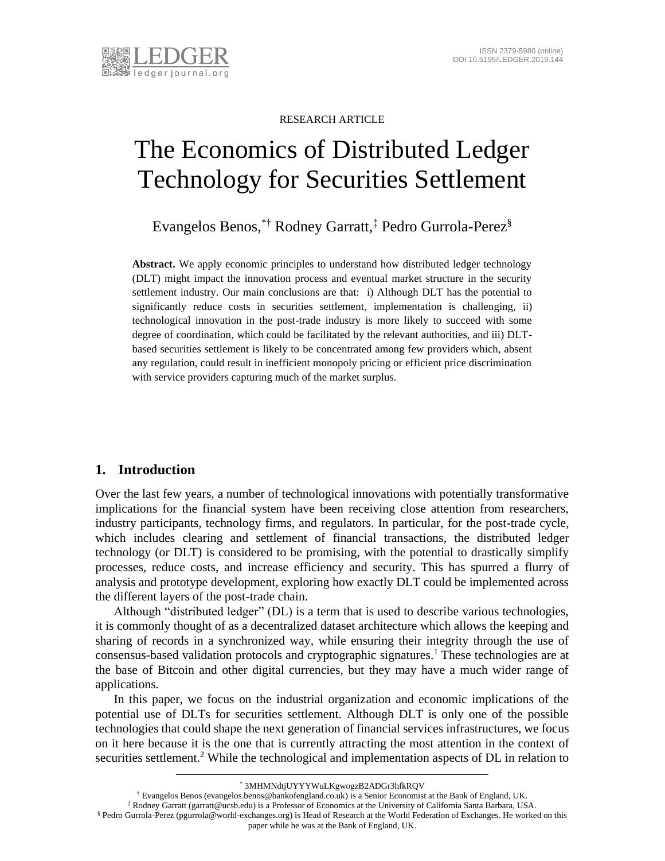

RESEARCH ARTICLE

# The Economics of Distributed Ledger Technology for Securities Settlement

Evangelos Benos,\*† Rodney Garratt,‡ Pedro Gurrola-Perez§

**Abstract.** We apply economic principles to understand how distributed ledger technology (DLT) might impact the innovation process and eventual market structure in the security settlement industry. Our main conclusions are that:i) Although DLT has the potential to significantly reduce costs in securities settlement, implementation is challenging, ii) technological innovation in the post-trade industry is more likely to succeed with some degree of coordination, which could be facilitated by the relevant authorities, and iii) DLTbased securities settlement is likely to be concentrated among few providers which, absent any regulation, could result in inefficient monopoly pricing or efficient price discrimination with service providers capturing much of the market surplus.

## **1. Introduction**

Over the last few years, a number of technological innovations with potentially transformative implications for the financial system have been receiving close attention from researchers, industry participants, technology firms, and regulators. In particular, for the post-trade cycle, which includes clearing and settlement of financial transactions, the distributed ledger technology (or DLT) is considered to be promising, with the potential to drastically simplify processes, reduce costs, and increase efficiency and security. This has spurred a flurry of analysis and prototype development, exploring how exactly DLT could be implemented across the different layers of the post-trade chain.

Although "distributed ledger" (DL) is a term that is used to describe various technologies, it is commonly thought of as a decentralized dataset architecture which allows the keeping and sharing of records in a synchronized way, while ensuring their integrity through the use of consensus-based validation protocols and cryptographic signatures.<sup>1</sup> These technologies are at the base of Bitcoin and other digital currencies, but they may have a much wider range of applications.

In this paper, we focus on the industrial organization and economic implications of the potential use of DLTs for securities settlement. Although DLT is only one of the possible technologies that could shape the next generation of financial services infrastructures, we focus on it here because it is the one that is currently attracting the most attention in the context of securities settlement.<sup>2</sup> While the technological and implementation aspects of DL in relation to

‡ Rodney Garratt (garratt@ucsb.edu) is a Professor of Economics at the University of California Santa Barbara, USA.

<sup>\*</sup> 3MHMNdtjUYYYWuLKgwogzB2ADGr3hfkRQV

<sup>†</sup> Evangelos Benos (evangelos.benos@bankofengland.co.uk) is a Senior Economist at the Bank of England, UK.

<sup>§</sup> Pedro Gurrola-Perez (pgurrola@world-exchanges.org) is Head of Research at the World Federation of Exchanges. He worked on this paper while he was at the Bank of England, UK.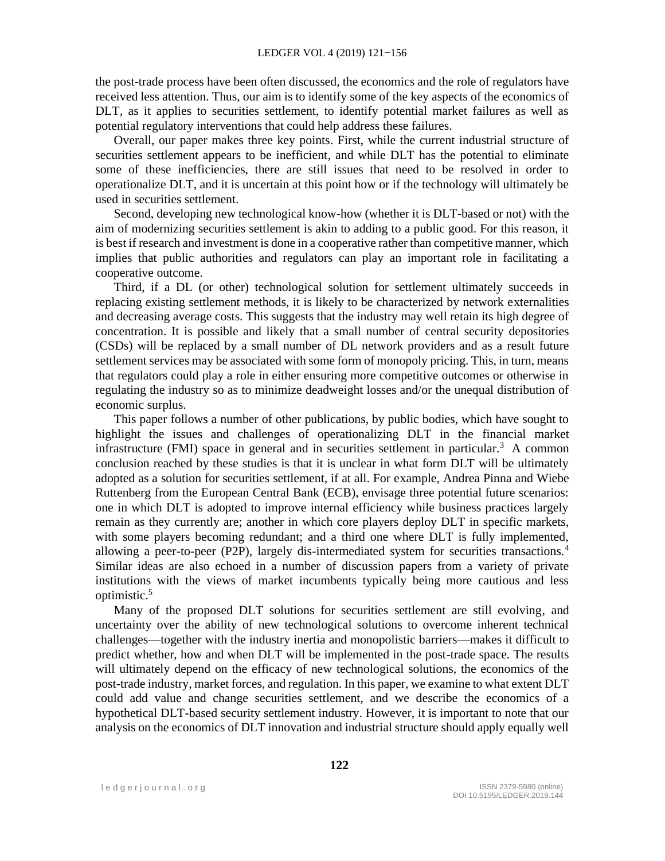the post-trade process have been often discussed, the economics and the role of regulators have received less attention. Thus, our aim is to identify some of the key aspects of the economics of DLT, as it applies to securities settlement, to identify potential market failures as well as potential regulatory interventions that could help address these failures.

Overall, our paper makes three key points. First, while the current industrial structure of securities settlement appears to be inefficient, and while DLT has the potential to eliminate some of these inefficiencies, there are still issues that need to be resolved in order to operationalize DLT, and it is uncertain at this point how or if the technology will ultimately be used in securities settlement.

Second, developing new technological know-how (whether it is DLT-based or not) with the aim of modernizing securities settlement is akin to adding to a public good. For this reason, it is best if research and investment is done in a cooperative rather than competitive manner, which implies that public authorities and regulators can play an important role in facilitating a cooperative outcome.

Third, if a DL (or other) technological solution for settlement ultimately succeeds in replacing existing settlement methods, it is likely to be characterized by network externalities and decreasing average costs. This suggests that the industry may well retain its high degree of concentration. It is possible and likely that a small number of central security depositories (CSDs) will be replaced by a small number of DL network providers and as a result future settlement services may be associated with some form of monopoly pricing. This, in turn, means that regulators could play a role in either ensuring more competitive outcomes or otherwise in regulating the industry so as to minimize deadweight losses and/or the unequal distribution of economic surplus.

<span id="page-1-0"></span>This paper follows a number of other publications, by public bodies, which have sought to highlight the issues and challenges of operationalizing DLT in the financial market infrastructure (FMI) space in general and in securities settlement in particular.<sup>3</sup> A common conclusion reached by these studies is that it is unclear in what form DLT will be ultimately adopted as a solution for securities settlement, if at all. For example, Andrea Pinna and Wiebe Ruttenberg from the European Central Bank (ECB), envisage three potential future scenarios: one in which DLT is adopted to improve internal efficiency while business practices largely remain as they currently are; another in which core players deploy DLT in specific markets, with some players becoming redundant; and a third one where DLT is fully implemented, allowing a peer-to-peer (P2P), largely dis-intermediated system for securities transactions.<sup>4</sup> Similar ideas are also echoed in a number of discussion papers from a variety of private institutions with the views of market incumbents typically being more cautious and less optimistic.<sup>5</sup>

<span id="page-1-1"></span>Many of the proposed DLT solutions for securities settlement are still evolving, and uncertainty over the ability of new technological solutions to overcome inherent technical challenges—together with the industry inertia and monopolistic barriers—makes it difficult to predict whether, how and when DLT will be implemented in the post-trade space. The results will ultimately depend on the efficacy of new technological solutions, the economics of the post-trade industry, market forces, and regulation. In this paper, we examine to what extent DLT could add value and change securities settlement, and we describe the economics of a hypothetical DLT-based security settlement industry. However, it is important to note that our analysis on the economics of DLT innovation and industrial structure should apply equally well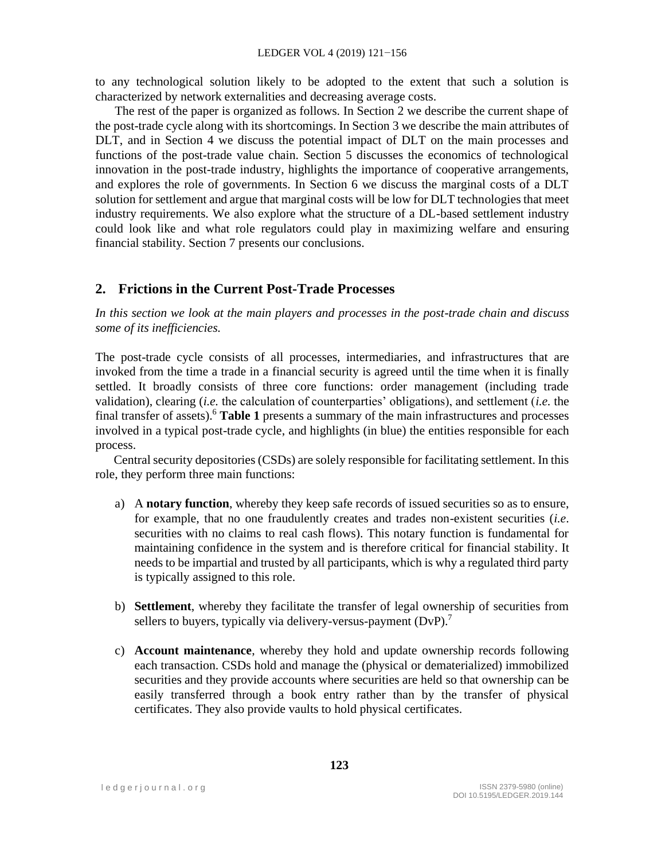to any technological solution likely to be adopted to the extent that such a solution is characterized by network externalities and decreasing average costs.

The rest of the paper is organized as follows. In Section 2 we describe the current shape of the post-trade cycle along with its shortcomings. In Section 3 we describe the main attributes of DLT, and in Section 4 we discuss the potential impact of DLT on the main processes and functions of the post-trade value chain. Section 5 discusses the economics of technological innovation in the post-trade industry, highlights the importance of cooperative arrangements, and explores the role of governments. In Section 6 we discuss the marginal costs of a DLT solution for settlement and argue that marginal costs will be low for DLT technologies that meet industry requirements. We also explore what the structure of a DL-based settlement industry could look like and what role regulators could play in maximizing welfare and ensuring financial stability. Section 7 presents our conclusions.

## **2. Frictions in the Current Post-Trade Processes**

*In this section we look at the main players and processes in the post-trade chain and discuss some of its inefficiencies.* 

The post-trade cycle consists of all processes, intermediaries, and infrastructures that are invoked from the time a trade in a financial security is agreed until the time when it is finally settled. It broadly consists of three core functions: order management (including trade validation), clearing (*i.e.* the calculation of counterparties' obligations), and settlement (*i.e.* the final transfer of assets).<sup>6</sup> **Table 1** presents a summary of the main infrastructures and processes involved in a typical post-trade cycle, and highlights (in blue) the entities responsible for each process.

<span id="page-2-0"></span>Central security depositories (CSDs) are solely responsible for facilitating settlement. In this role, they perform three main functions:

- a) A **notary function**, whereby they keep safe records of issued securities so as to ensure, for example, that no one fraudulently creates and trades non-existent securities (*i.e*. securities with no claims to real cash flows). This notary function is fundamental for maintaining confidence in the system and is therefore critical for financial stability. It needs to be impartial and trusted by all participants, which is why a regulated third party is typically assigned to this role.
- b) **Settlement**, whereby they facilitate the transfer of legal ownership of securities from sellers to buyers, typically via delivery-versus-payment  $(DvP)$ .<sup>7</sup>
- c) **Account maintenance**, whereby they hold and update ownership records following each transaction. CSDs hold and manage the (physical or dematerialized) immobilized securities and they provide accounts where securities are held so that ownership can be easily transferred through a book entry rather than by the transfer of physical certificates. They also provide vaults to hold physical certificates.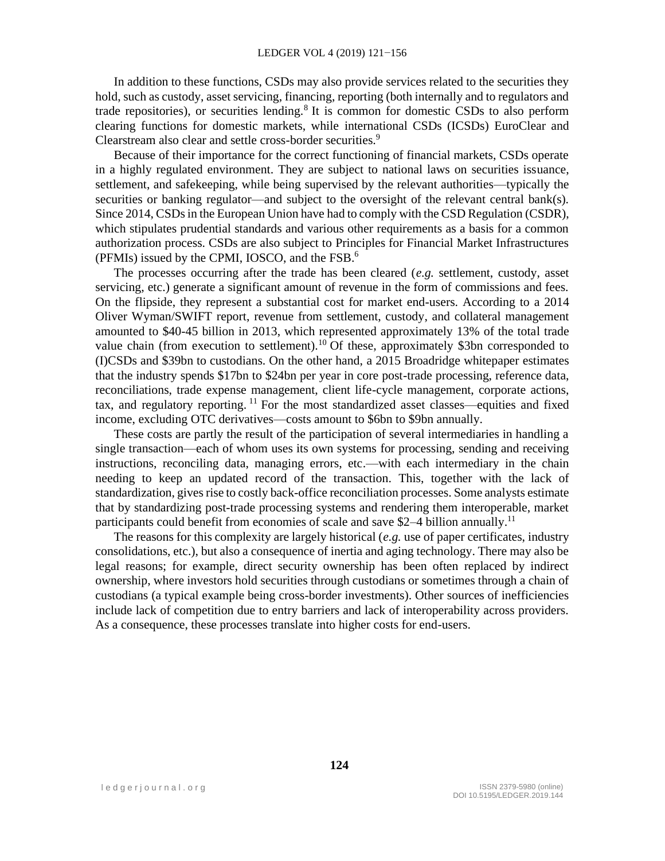In addition to these functions, CSDs may also provide services related to the securities they hold, such as custody, asset servicing, financing, reporting (both internally and to regulators and trade repositories), or securities lending.<sup>8</sup> It is common for domestic CSDs to also perform clearing functions for domestic markets, while international CSDs (ICSDs) EuroClear and Clearstream also clear and settle cross-border securities.<sup>9</sup>

Because of their importance for the correct functioning of financial markets, CSDs operate in a highly regulated environment. They are subject to national laws on securities issuance, settlement, and safekeeping, while being supervised by the relevant authorities—typically the securities or banking regulator—and subject to the oversight of the relevant central bank(s). Since 2014, CSDs in the European Union have had to comply with th[e CSD Regulation](http://eur-lex.europa.eu/legal-content/EN/TXT/?uri=uriserv:OJ.L_.2014.257.01.0001.01.ENG) (CSDR), which stipulates prudential standards and various other requirements as a basis for a common authorization process. CSDs are also subject to Principles for Financial Market Infrastructures (PFMIs) issued by the CPMI, IOSCO, and the FSB[.](#page-2-0) 6

The processes occurring after the trade has been cleared (*e.g.* settlement, custody, asset servicing, etc.) generate a significant amount of revenue in the form of commissions and fees. On the flipside, they represent a substantial cost for market end-users. According to a 2014 Oliver Wyman/SWIFT report, revenue from settlement, custody, and collateral management amounted to \$40-45 billion in 2013, which represented approximately 13% of the total trade value chain (from execution to settlement).<sup>10</sup> Of these, approximately \$3bn corresponded to (I)CSDs and \$39bn to custodians. On the other hand, a 2015 Broadridge whitepaper estimates that the industry spends \$17bn to \$24bn per year in core post-trade processing, reference data, reconciliations, trade expense management, client life-cycle management, corporate actions, tax, and regulatory reporting.  $^{11}$  For the most standardized asset classes—equities and fixed income, excluding OTC derivatives—costs amount to \$6bn to \$9bn annually.

<span id="page-3-0"></span>These costs are partly the result of the participation of several intermediaries in handling a single transaction—each of whom uses its own systems for processing, sending and receiving instructions, reconciling data, managing errors, etc.—with each intermediary in the chain needing to keep an updated record of the transaction. This, together with the lack of standardization, gives rise to costly back-office reconciliation processes. Some analysts estimate that by standardizing post-trade processing systems and rendering them interoperable, market participants could benefit from economies of scale and save \$2–4 billion annually.<sup>[11](#page-3-0)</sup>

The reasons for this complexity are largely historical (*e.g.* use of paper certificates, industry consolidations, etc.), but also a consequence of inertia and aging technology. There may also be legal reasons; for example, direct security ownership has been often replaced by indirect ownership, where investors hold securities through custodians or sometimes through a chain of custodians (a typical example being cross-border investments). Other sources of inefficiencies include lack of competition due to entry barriers and lack of interoperability across providers. As a consequence, these processes translate into higher costs for end-users.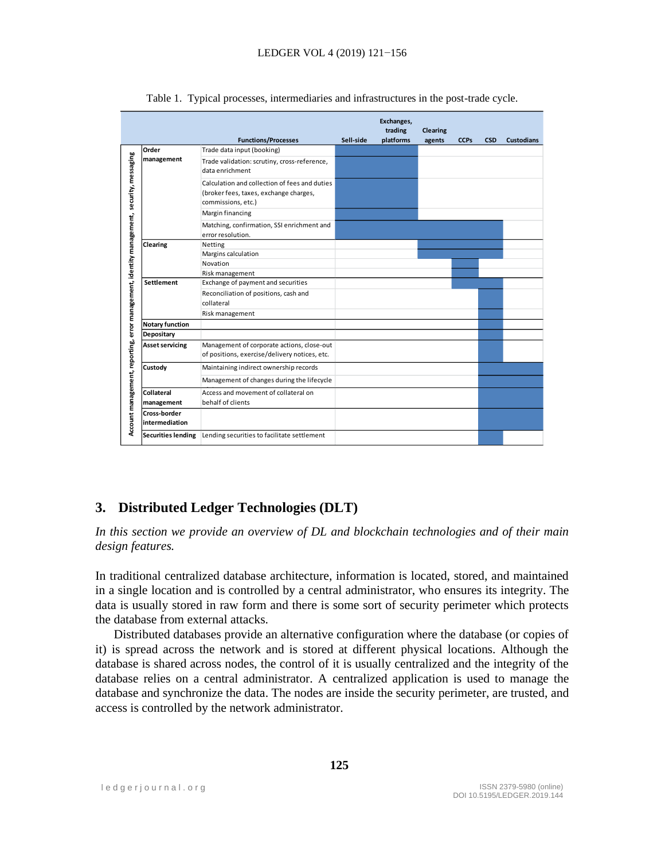|                                                                                           |                                | <b>Functions/Processes</b>                                                                                    | Sell-side | Exchanges,<br>trading<br>platforms | Clearing<br>agents | <b>CCPs</b> | <b>CSD</b> | <b>Custodians</b> |
|-------------------------------------------------------------------------------------------|--------------------------------|---------------------------------------------------------------------------------------------------------------|-----------|------------------------------------|--------------------|-------------|------------|-------------------|
|                                                                                           | Order                          | Trade data input (booking)                                                                                    |           |                                    |                    |             |            |                   |
| Account management, reporting, error management, identity management, security, messaging | management                     | Trade validation: scrutiny, cross-reference,<br>data enrichment                                               |           |                                    |                    |             |            |                   |
|                                                                                           |                                | Calculation and collection of fees and duties<br>(broker fees, taxes, exchange charges,<br>commissions, etc.) |           |                                    |                    |             |            |                   |
|                                                                                           |                                | Margin financing                                                                                              |           |                                    |                    |             |            |                   |
|                                                                                           |                                | Matching, confirmation, SSI enrichment and<br>error resolution.                                               |           |                                    |                    |             |            |                   |
|                                                                                           | Clearing                       | Netting                                                                                                       |           |                                    |                    |             |            |                   |
|                                                                                           |                                | Margins calculation                                                                                           |           |                                    |                    |             |            |                   |
|                                                                                           |                                | Novation                                                                                                      |           |                                    |                    |             |            |                   |
|                                                                                           | <b>Settlement</b>              | Risk management<br>Exchange of payment and securities                                                         |           |                                    |                    |             |            |                   |
|                                                                                           |                                |                                                                                                               |           |                                    |                    |             |            |                   |
|                                                                                           |                                | Reconciliation of positions, cash and<br>collateral                                                           |           |                                    |                    |             |            |                   |
|                                                                                           |                                | Risk management                                                                                               |           |                                    |                    |             |            |                   |
|                                                                                           | <b>Notary function</b>         |                                                                                                               |           |                                    |                    |             |            |                   |
|                                                                                           | Depositary                     |                                                                                                               |           |                                    |                    |             |            |                   |
|                                                                                           | <b>Asset servicing</b>         | Management of corporate actions, close-out                                                                    |           |                                    |                    |             |            |                   |
|                                                                                           |                                | of positions, exercise/delivery notices, etc.                                                                 |           |                                    |                    |             |            |                   |
|                                                                                           | Custody                        | Maintaining indirect ownership records                                                                        |           |                                    |                    |             |            |                   |
|                                                                                           |                                | Management of changes during the lifecycle                                                                    |           |                                    |                    |             |            |                   |
|                                                                                           | Collateral                     | Access and movement of collateral on                                                                          |           |                                    |                    |             |            |                   |
|                                                                                           | management                     | behalf of clients                                                                                             |           |                                    |                    |             |            |                   |
|                                                                                           | Cross-border<br>intermediation |                                                                                                               |           |                                    |                    |             |            |                   |
|                                                                                           | <b>Securities lending</b>      | Lending securities to facilitate settlement                                                                   |           |                                    |                    |             |            |                   |

Table 1. Typical processes, intermediaries and infrastructures in the post-trade cycle.

## **3. Distributed Ledger Technologies (DLT)**

*In this section we provide an overview of DL and blockchain technologies and of their main design features.*

In traditional centralized database architecture, information is located, stored, and maintained in a single location and is controlled by a central administrator, who ensures its integrity. The data is usually stored in raw form and there is some sort of security perimeter which protects the database from external attacks.

Distributed databases provide an alternative configuration where the database (or copies of it) is spread across the network and is stored at different physical locations. Although the database is shared across nodes, the control of it is usually centralized and the integrity of the database relies on a central administrator. A centralized application is used to manage the database and synchronize the data. The nodes are inside the security perimeter, are trusted, and access is controlled by the network administrator.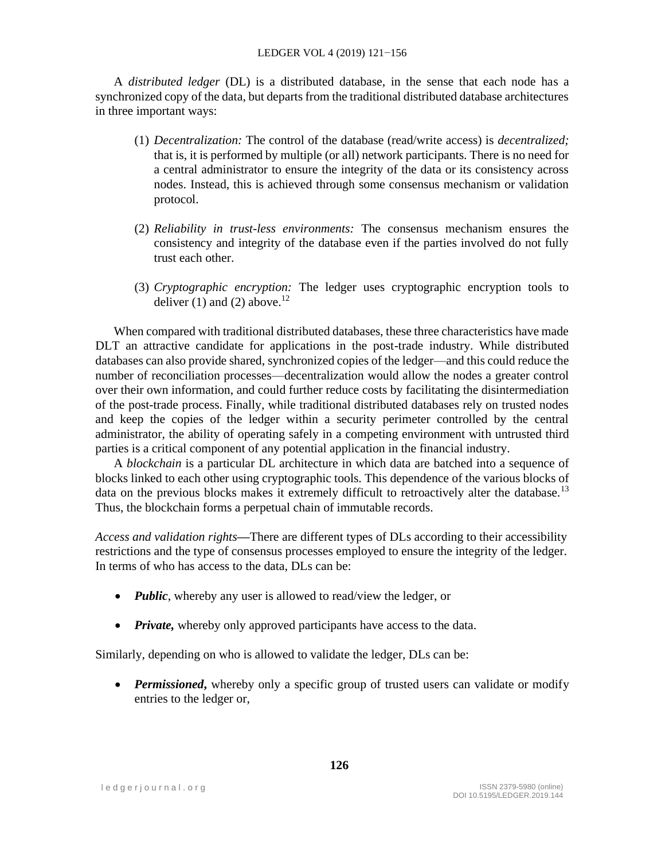A *distributed ledger* (DL) is a distributed database, in the sense that each node has a synchronized copy of the data, but departs from the traditional distributed database architectures in three important ways:

- (1) *Decentralization:* The control of the database (read/write access) is *decentralized;*  that is, it is performed by multiple (or all) network participants. There is no need for a central administrator to ensure the integrity of the data or its consistency across nodes. Instead, this is achieved through some consensus mechanism or validation protocol.
- (2) *Reliability in trust-less environments:* The consensus mechanism ensures the consistency and integrity of the database even if the parties involved do not fully trust each other.
- (3) *Cryptographic encryption:* The ledger uses cryptographic encryption tools to deliver (1) and (2) above.<sup>12</sup>

When compared with traditional distributed databases, these three characteristics have made DLT an attractive candidate for applications in the post-trade industry. While distributed databases can also provide shared, synchronized copies of the ledger—and this could reduce the number of reconciliation processes—decentralization would allow the nodes a greater control over their own information, and could further reduce costs by facilitating the disintermediation of the post-trade process. Finally, while traditional distributed databases rely on trusted nodes and keep the copies of the ledger within a security perimeter controlled by the central administrator, the ability of operating safely in a competing environment with untrusted third parties is a critical component of any potential application in the financial industry.

A *blockchain* is a particular DL architecture in which data are batched into a sequence of blocks linked to each other using cryptographic tools. This dependence of the various blocks of data on the previous blocks makes it extremely difficult to retroactively alter the database.<sup>13</sup> Thus, the blockchain forms a perpetual chain of immutable records.

*Access and validation rights***—**There are different types of DLs according to their accessibility restrictions and the type of consensus processes employed to ensure the integrity of the ledger. In terms of who has access to the data. DLs can be:

- *Public*, whereby any user is allowed to read/view the ledger, or
- *Private*, whereby only approved participants have access to the data.

Similarly, depending on who is allowed to validate the ledger, DLs can be:

• *Permissioned*, whereby only a specific group of trusted users can validate or modify entries to the ledger or,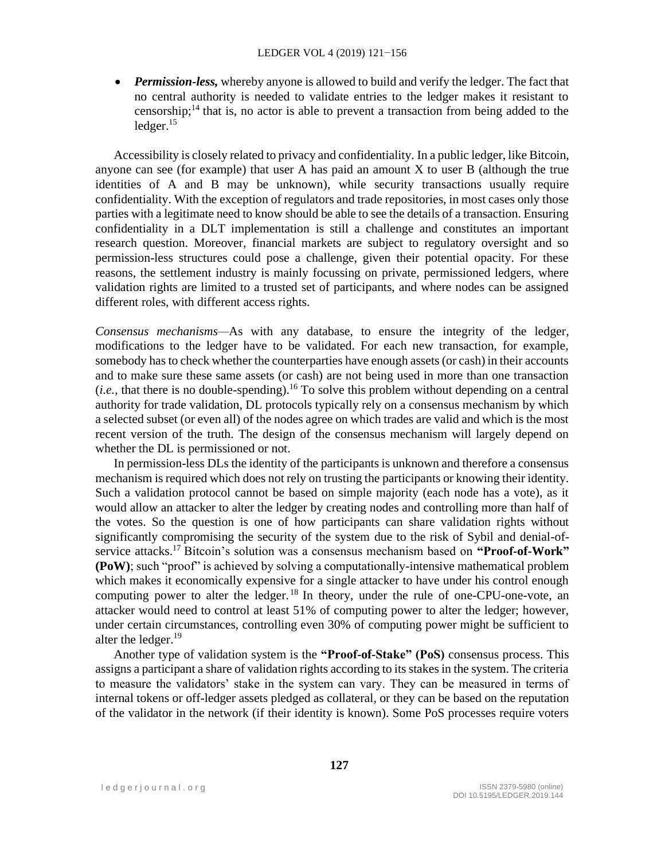• *Permission-less,* whereby anyone is allowed to build and verify the ledger. The fact that no central authority is needed to validate entries to the ledger makes it resistant to censorship;<sup>14</sup> that is, no actor is able to prevent a transaction from being added to the ledger.<sup>15</sup>

Accessibility is closely related to privacy and confidentiality. In a public ledger, like Bitcoin, anyone can see (for example) that user A has paid an amount X to user B (although the true identities of A and B may be unknown), while security transactions usually require confidentiality. With the exception of regulators and trade repositories, in most cases only those parties with a legitimate need to know should be able to see the details of a transaction. Ensuring confidentiality in a DLT implementation is still a challenge and constitutes an important research question. Moreover, financial markets are subject to regulatory oversight and so permission-less structures could pose a challenge, given their potential opacity. For these reasons, the settlement industry is mainly focussing on private, permissioned ledgers, where validation rights are limited to a trusted set of participants, and where nodes can be assigned different roles, with different access rights.

*Consensus mechanisms—*As with any database, to ensure the integrity of the ledger, modifications to the ledger have to be validated. For each new transaction, for example, somebody has to check whether the counterparties have enough assets (or cash) in their accounts and to make sure these same assets (or cash) are not being used in more than one transaction  $(i.e., that there is no double-spending).<sup>16</sup> To solve this problem without depending on a central$ authority for trade validation, DL protocols typically rely on a consensus mechanism by which a selected subset (or even all) of the nodes agree on which trades are valid and which is the most recent version of the truth. The design of the consensus mechanism will largely depend on whether the DL is permissioned or not.

In permission-less DLs the identity of the participants is unknown and therefore a consensus mechanism is required which does not rely on trusting the participants or knowing their identity. Such a validation protocol cannot be based on simple majority (each node has a vote), as it would allow an attacker to alter the ledger by creating nodes and controlling more than half of the votes. So the question is one of how participants can share validation rights without significantly compromising the security of the system due to the risk of Sybil and denial-ofservice attacks.<sup>17</sup> Bitcoin's solution was a consensus mechanism based on **"Proof-of-Work" (PoW)**; such "proof" is achieved by solving a computationally-intensive mathematical problem which makes it economically expensive for a single attacker to have under his control enough computing power to alter the ledger.<sup>18</sup> In theory, under the rule of one-CPU-one-vote, an attacker would need to control at least 51% of computing power to alter the ledger; however, under certain circumstances, controlling even 30% of computing power might be sufficient to alter the ledger.<sup>19</sup>

Another type of validation system is the **"Proof-of-Stake" (PoS)** consensus process. This assigns a participant a share of validation rights according to its stakes in the system. The criteria to measure the validators' stake in the system can vary. They can be measured in terms of internal tokens or off-ledger assets pledged as collateral, or they can be based on the reputation of the validator in the network (if their identity is known). Some PoS processes require voters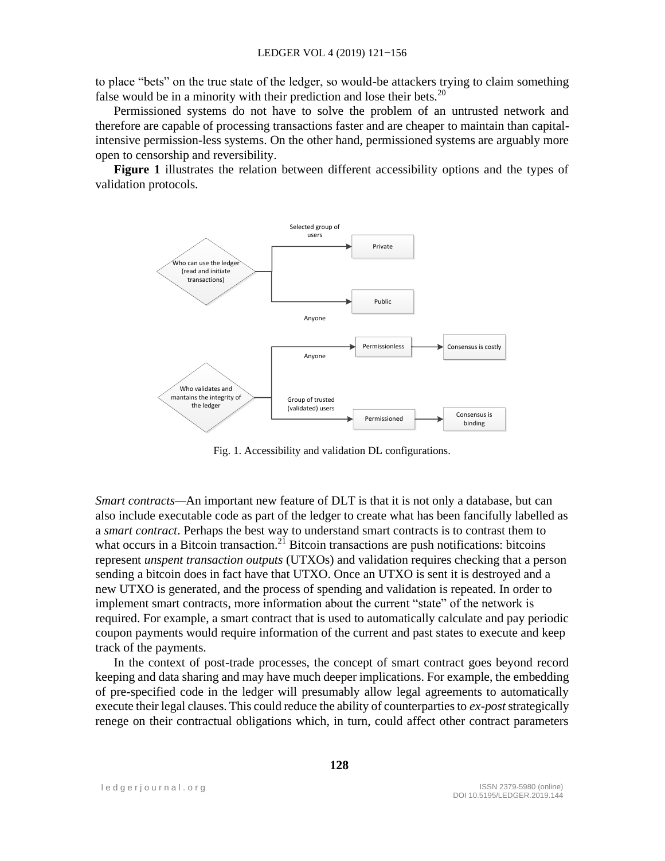to place "bets" on the true state of the ledger, so would-be attackers trying to claim something false would be in a minority with their prediction and lose their bets.<sup>20</sup>

Permissioned systems do not have to solve the problem of an untrusted network and therefore are capable of processing transactions faster and are cheaper to maintain than capitalintensive permission-less systems. On the other hand, permissioned systems are arguably more open to censorship and reversibility.

**Figure 1** illustrates the relation between different accessibility options and the types of validation protocols.



Fig. 1. Accessibility and validation DL configurations.

*Smart contracts—*An important new feature of DLT is that it is not only a database, but can also include executable code as part of the ledger to create what has been fancifully labelled as a *smart contract*. Perhaps the best way to understand smart contracts is to contrast them to what occurs in a Bitcoin transaction.<sup>21</sup> Bitcoin transactions are push notifications: bitcoins represent *unspent transaction outputs* (UTXOs) and validation requires checking that a person sending a bitcoin does in fact have that UTXO. Once an UTXO is sent it is destroyed and a new UTXO is generated, and the process of spending and validation is repeated. In order to implement smart contracts, more information about the current "state" of the network is required. For example, a smart contract that is used to automatically calculate and pay periodic coupon payments would require information of the current and past states to execute and keep track of the payments.

In the context of post-trade processes, the concept of smart contract goes beyond record keeping and data sharing and may have much deeper implications. For example, the embedding of pre-specified code in the ledger will presumably allow legal agreements to automatically execute their legal clauses. This could reduce the ability of counterparties to *ex-post*strategically renege on their contractual obligations which, in turn, could affect other contract parameters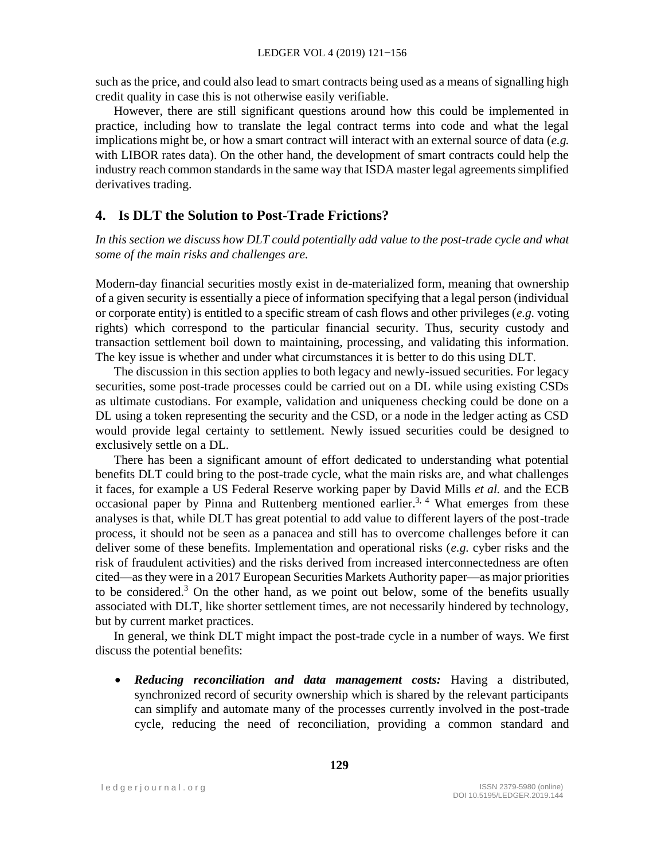such as the price, and could also lead to smart contracts being used as a means of signalling high credit quality in case this is not otherwise easily verifiable.

However, there are still significant questions around how this could be implemented in practice, including how to translate the legal contract terms into code and what the legal implications might be, or how a smart contract will interact with an external source of data (*e.g.* with LIBOR rates data). On the other hand, the development of smart contracts could help the industry reach common standards in the same way that ISDA master legal agreements simplified derivatives trading.

## **4. Is DLT the Solution to Post-Trade Frictions?**

*In this section we discuss how DLT could potentially add value to the post-trade cycle and what some of the main risks and challenges are.* 

Modern-day financial securities mostly exist in de-materialized form, meaning that ownership of a given security is essentially a piece of information specifying that a legal person (individual or corporate entity) is entitled to a specific stream of cash flows and other privileges (*e.g.* voting rights) which correspond to the particular financial security. Thus, security custody and transaction settlement boil down to maintaining, processing, and validating this information. The key issue is whether and under what circumstances it is better to do this using DLT.

The discussion in this section applies to both legacy and newly-issued securities. For legacy securities, some post-trade processes could be carried out on a DL while using existing CSDs as ultimate custodians. For example, validation and uniqueness checking could be done on a DL using a token representing the security and the CSD, or a node in the ledger acting as CSD would provide legal certainty to settlement. Newly issued securities could be designed to exclusively settle on a DL.

There has been a significant amount of effort dedicated to understanding what potential benefits DLT could bring to the post-trade cycle, what the main risks are, and what challenges it faces, for example a US Federal Reserve working paper by David Mills *et al.* and the ECB occasional paper by Pinna and Ruttenberg mentioned earlier.<sup>[3,](#page-1-0) [4](#page-1-1)</sup> What emerges from these analyses is that, while DLT has great potential to add value to different layers of the post-trade process, it should not be seen as a panacea and still has to overcome challenges before it can deliver some of these benefits. Implementation and operational risks (*e.g.* cyber risks and the risk of fraudulent activities) and the risks derived from increased interconnectedness are often cited—as they were in a 2017 European Securities Markets Authority paper—as major priorities to be considered[.](#page-1-0)<sup>3</sup> On the other hand, as we point out below, some of the benefits usually associated with DLT, like shorter settlement times, are not necessarily hindered by technology, but by current market practices.

In general, we think DLT might impact the post-trade cycle in a number of ways. We first discuss the potential benefits:

• *Reducing reconciliation and data management costs:* Having a distributed, synchronized record of security ownership which is shared by the relevant participants can simplify and automate many of the processes currently involved in the post-trade cycle, reducing the need of reconciliation, providing a common standard and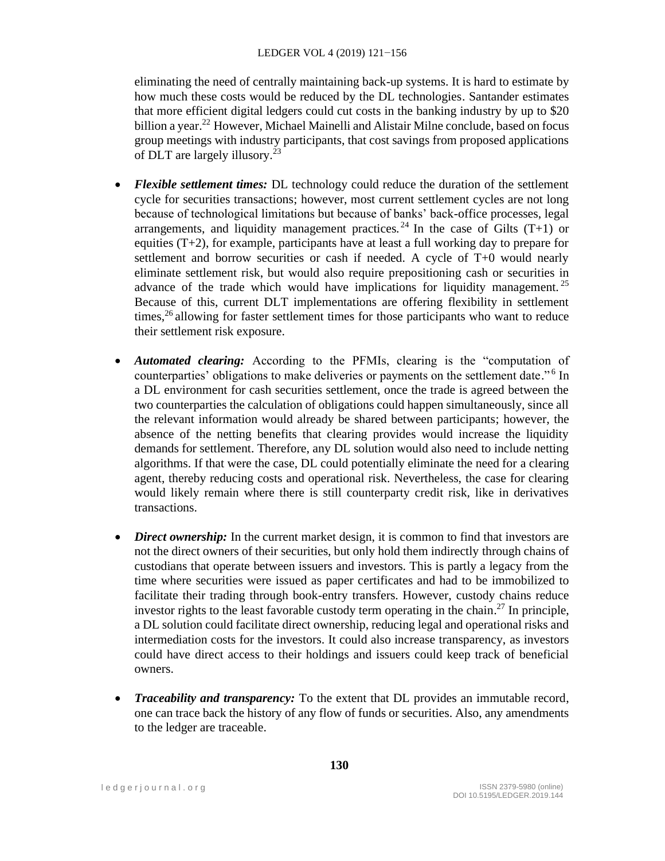eliminating the need of centrally maintaining back-up systems. It is hard to estimate by how much these costs would be reduced by the DL technologies. Santander estimates that more efficient digital ledgers could cut costs in the banking industry by up to \$20 billion a year.<sup>22</sup> However, Michael Mainelli and Alistair Milne conclude, based on focus group meetings with industry participants, that cost savings from proposed applications of DLT are largely illusory.<sup>23</sup>

- *Flexible settlement times:* DL technology could reduce the duration of the settlement cycle for securities transactions; however, most current settlement cycles are not long because of technological limitations but because of banks' back-office processes, legal arrangements, and liquidity management practices.<sup>24</sup> In the case of Gilts  $(T+1)$  or equities (T+2), for example, participants have at least a full working day to prepare for settlement and borrow securities or cash if needed. A cycle of T+0 would nearly eliminate settlement risk, but would also require prepositioning cash or securities in advance of the trade which would have implications for liquidity management.<sup>25</sup> Because of this, current DLT implementations are offering flexibility in settlement times,<sup>26</sup> allowing for faster settlement times for those participants who want to reduce their settlement risk exposure.
- *Automated clearing:* According to the PFMIs, clearing is the "computation of counterparties' obligations to make deliveries or payments on the settlement date."<sup>[6](#page-2-0)</sup> In a DL environment for cash securities settlement, once the trade is agreed between the two counterparties the calculation of obligations could happen simultaneously, since all the relevant information would already be shared between participants; however, the absence of the netting benefits that clearing provides would increase the liquidity demands for settlement. Therefore, any DL solution would also need to include netting algorithms. If that were the case, DL could potentially eliminate the need for a clearing agent, thereby reducing costs and operational risk. Nevertheless, the case for clearing would likely remain where there is still counterparty credit risk, like in derivatives transactions.
- *Direct ownership:* In the current market design, it is common to find that investors are not the direct owners of their securities, but only hold them indirectly through chains of custodians that operate between issuers and investors. This is partly a legacy from the time where securities were issued as paper certificates and had to be immobilized to facilitate their trading through book-entry transfers. However, custody chains reduce investor rights to the least favorable custody term operating in the chain.<sup>27</sup> In principle, a DL solution could facilitate direct ownership, reducing legal and operational risks and intermediation costs for the investors. It could also increase transparency, as investors could have direct access to their holdings and issuers could keep track of beneficial owners.
- *Traceability and transparency:* To the extent that DL provides an immutable record, one can trace back the history of any flow of funds or securities. Also, any amendments to the ledger are traceable.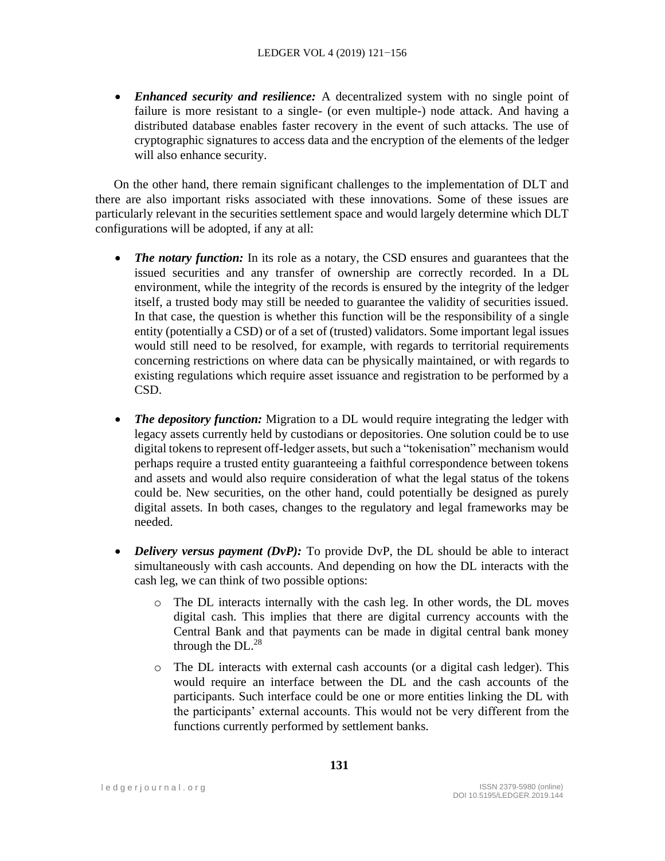• *Enhanced security and resilience:* A decentralized system with no single point of failure is more resistant to a single- (or even multiple-) node attack. And having a distributed database enables faster recovery in the event of such attacks. The use of cryptographic signatures to access data and the encryption of the elements of the ledger will also enhance security.

On the other hand, there remain significant challenges to the implementation of DLT and there are also important risks associated with these innovations. Some of these issues are particularly relevant in the securities settlement space and would largely determine which DLT configurations will be adopted, if any at all:

- *The notary function:* In its role as a notary, the CSD ensures and guarantees that the issued securities and any transfer of ownership are correctly recorded. In a DL environment, while the integrity of the records is ensured by the integrity of the ledger itself, a trusted body may still be needed to guarantee the validity of securities issued. In that case, the question is whether this function will be the responsibility of a single entity (potentially a CSD) or of a set of (trusted) validators. Some important legal issues would still need to be resolved, for example, with regards to territorial requirements concerning restrictions on where data can be physically maintained, or with regards to existing regulations which require asset issuance and registration to be performed by a CSD.
- *The depository function:* Migration to a DL would require integrating the ledger with legacy assets currently held by custodians or depositories. One solution could be to use digital tokens to represent off-ledger assets, but such a "tokenisation" mechanism would perhaps require a trusted entity guaranteeing a faithful correspondence between tokens and assets and would also require consideration of what the legal status of the tokens could be. New securities, on the other hand, could potentially be designed as purely digital assets. In both cases, changes to the regulatory and legal frameworks may be needed.
- *Delivery versus payment (DvP)*: To provide DvP, the DL should be able to interact simultaneously with cash accounts. And depending on how the DL interacts with the cash leg, we can think of two possible options:
	- o The DL interacts internally with the cash leg. In other words, the DL moves digital cash. This implies that there are digital currency accounts with the Central Bank and that payments can be made in digital central bank money through the  $DL.^{28}$
	- o The DL interacts with external cash accounts (or a digital cash ledger). This would require an interface between the DL and the cash accounts of the participants. Such interface could be one or more entities linking the DL with the participants' external accounts. This would not be very different from the functions currently performed by settlement banks.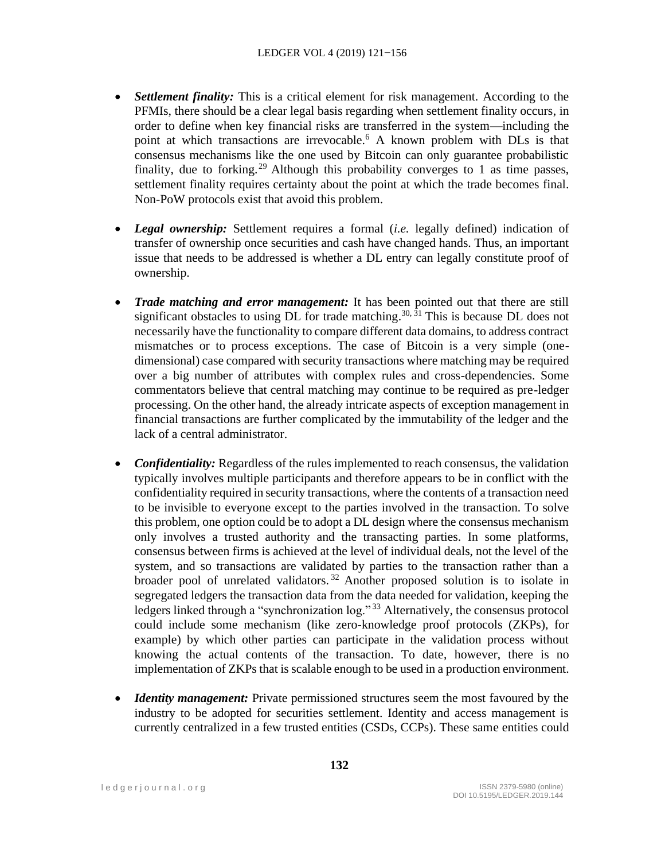- **Settlement finality:** This is a critical element for risk management. According to the PFMIs, there should be a clear legal basis regarding when settlement finality occurs, in order to define when key financial risks are transferred in the system—including the point at which transactions are irrevocable.<sup>[6](#page-2-0)</sup> A known problem with DLs is that consensus mechanisms like the one used by Bitcoin can only guarantee probabilistic finality, due to forking.<sup>29</sup> Although this probability converges to 1 as time passes, settlement finality requires certainty about the point at which the trade becomes final. Non-PoW protocols exist that avoid this problem.
- *Legal ownership:* Settlement requires a formal (*i.e.* legally defined) indication of transfer of ownership once securities and cash have changed hands. Thus, an important issue that needs to be addressed is whether a DL entry can legally constitute proof of ownership.
- *Trade matching and error management:* It has been pointed out that there are still significant obstacles to using  $DL$  for trade matching.<sup>30, 31</sup> This is because  $DL$  does not necessarily have the functionality to compare different data domains, to address contract mismatches or to process exceptions. The case of Bitcoin is a very simple (onedimensional) case compared with security transactions where matching may be required over a big number of attributes with complex rules and cross-dependencies. Some commentators believe that central matching may continue to be required as pre-ledger processing. On the other hand, the already intricate aspects of exception management in financial transactions are further complicated by the immutability of the ledger and the lack of a central administrator.
- *Confidentiality:* Regardless of the rules implemented to reach consensus, the validation typically involves multiple participants and therefore appears to be in conflict with the confidentiality required in security transactions, where the contents of a transaction need to be invisible to everyone except to the parties involved in the transaction. To solve this problem, one option could be to adopt a DL design where the consensus mechanism only involves a trusted authority and the transacting parties. In some platforms, consensus between firms is achieved at the level of individual deals, not the level of the system, and so transactions are validated by parties to the transaction rather than a broader pool of unrelated validators. <sup>32</sup> Another proposed solution is to isolate in segregated ledgers the transaction data from the data needed for validation, keeping the ledgers linked through a "synchronization log."<sup>33</sup> Alternatively, the consensus protocol could include some mechanism (like zero-knowledge proof protocols (ZKPs), for example) by which other parties can participate in the validation process without knowing the actual contents of the transaction. To date, however, there is no implementation of ZKPs that is scalable enough to be used in a production environment.
- *Identity management:* Private permissioned structures seem the most favoured by the industry to be adopted for securities settlement. Identity and access management is currently centralized in a few trusted entities (CSDs, CCPs). These same entities could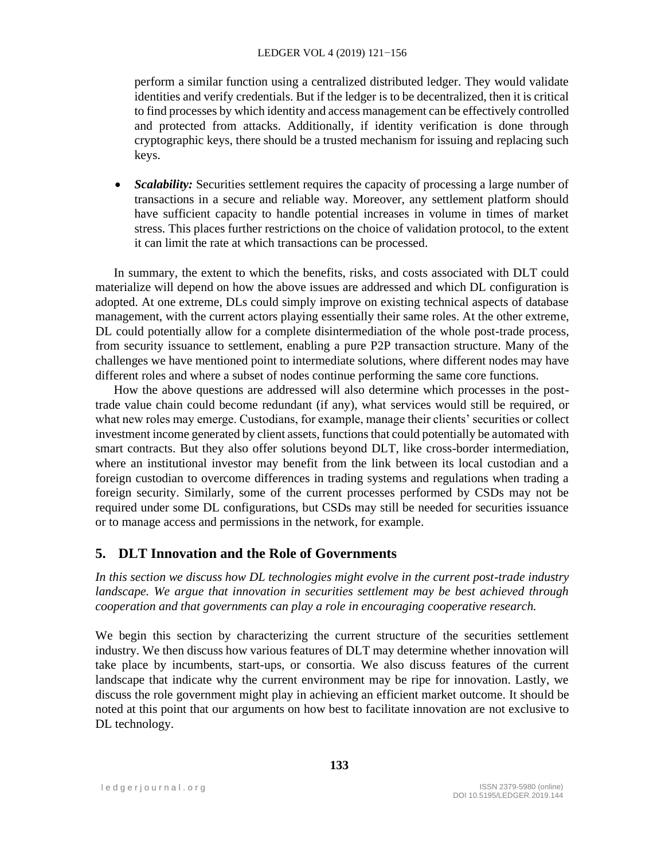#### LEDGER VOL 4 (2019) 121−156

perform a similar function using a centralized distributed ledger. They would validate identities and verify credentials. But if the ledger is to be decentralized, then it is critical to find processes by which identity and access management can be effectively controlled and protected from attacks. Additionally, if identity verification is done through cryptographic keys, there should be a trusted mechanism for issuing and replacing such keys.

• *Scalability:* Securities settlement requires the capacity of processing a large number of transactions in a secure and reliable way. Moreover, any settlement platform should have sufficient capacity to handle potential increases in volume in times of market stress. This places further restrictions on the choice of validation protocol, to the extent it can limit the rate at which transactions can be processed.

In summary, the extent to which the benefits, risks, and costs associated with DLT could materialize will depend on how the above issues are addressed and which DL configuration is adopted. At one extreme, DLs could simply improve on existing technical aspects of database management, with the current actors playing essentially their same roles. At the other extreme, DL could potentially allow for a complete disintermediation of the whole post-trade process, from security issuance to settlement, enabling a pure P2P transaction structure. Many of the challenges we have mentioned point to intermediate solutions, where different nodes may have different roles and where a subset of nodes continue performing the same core functions.

How the above questions are addressed will also determine which processes in the posttrade value chain could become redundant (if any), what services would still be required, or what new roles may emerge. Custodians, for example, manage their clients' securities or collect investment income generated by client assets, functions that could potentially be automated with smart contracts. But they also offer solutions beyond DLT, like cross-border intermediation, where an institutional investor may benefit from the link between its local custodian and a foreign custodian to overcome differences in trading systems and regulations when trading a foreign security. Similarly, some of the current processes performed by CSDs may not be required under some DL configurations, but CSDs may still be needed for securities issuance or to manage access and permissions in the network, for example.

## **5. DLT Innovation and the Role of Governments**

*In this section we discuss how DL technologies might evolve in the current post-trade industry landscape. We argue that innovation in securities settlement may be best achieved through cooperation and that governments can play a role in encouraging cooperative research.*

We begin this section by characterizing the current structure of the securities settlement industry. We then discuss how various features of DLT may determine whether innovation will take place by incumbents, start-ups, or consortia. We also discuss features of the current landscape that indicate why the current environment may be ripe for innovation. Lastly, we discuss the role government might play in achieving an efficient market outcome. It should be noted at this point that our arguments on how best to facilitate innovation are not exclusive to DL technology.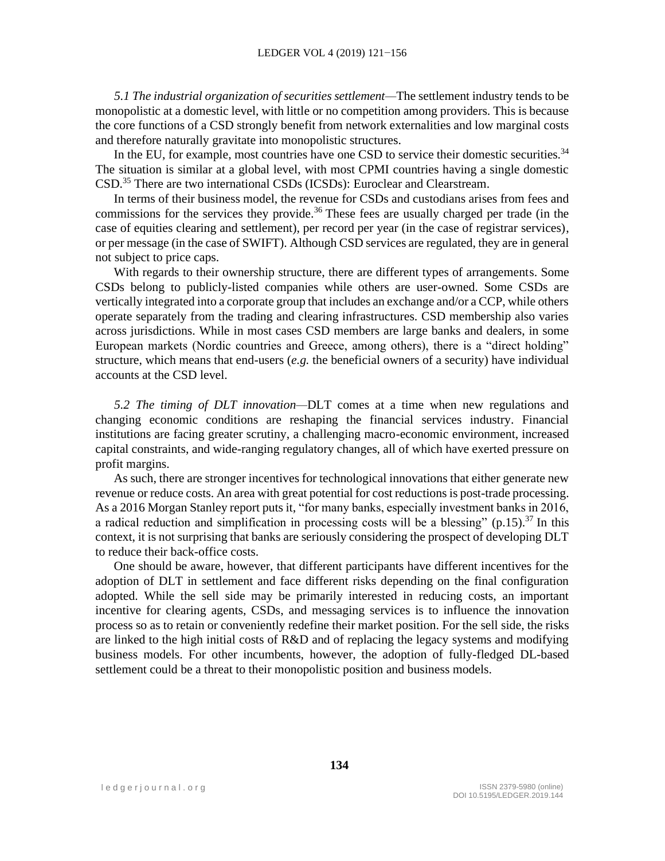*5.1 The industrial organization of securities settlement—*The settlement industry tends to be monopolistic at a domestic level, with little or no competition among providers. This is because the core functions of a CSD strongly benefit from network externalities and low marginal costs and therefore naturally gravitate into monopolistic structures.

In the EU, for example, most countries have one CSD to service their domestic securities.<sup>34</sup> The situation is similar at a global level, with most CPMI countries having a single domestic CSD.<sup>35</sup> There are two international CSDs (ICSDs): Euroclear and Clearstream.

In terms of their business model, the revenue for CSDs and custodians arises from fees and commissions for the services they provide.<sup>36</sup> These fees are usually charged per trade (in the case of equities clearing and settlement), per record per year (in the case of registrar services), or per message (in the case of SWIFT). Although CSD services are regulated, they are in general not subject to price caps.

With regards to their ownership structure, there are different types of arrangements. Some CSDs belong to publicly-listed companies while others are user-owned. Some CSDs are vertically integrated into a corporate group that includes an exchange and/or a CCP, while others operate separately from the trading and clearing infrastructures. CSD membership also varies across jurisdictions. While in most cases CSD members are large banks and dealers, in some European markets (Nordic countries and Greece, among others), there is a "direct holding" structure, which means that end-users (*e.g.* the beneficial owners of a security) have individual accounts at the CSD level.

*5.2 The timing of DLT innovation—*DLT comes at a time when new regulations and changing economic conditions are reshaping the financial services industry. Financial institutions are facing greater scrutiny, a challenging macro-economic environment, increased capital constraints, and wide-ranging regulatory changes, all of which have exerted pressure on profit margins.

<span id="page-13-0"></span>As such, there are stronger incentives for technological innovations that either generate new revenue or reduce costs. An area with great potential for cost reductions is post-trade processing. As a 2016 Morgan Stanley report puts it, "for many banks, especially investment banks in 2016, a radical reduction and simplification in processing costs will be a blessing"  $(p.15)$ .<sup>37</sup> In this context, it is not surprising that banks are seriously considering the prospect of developing DLT to reduce their back-office costs.

One should be aware, however, that different participants have different incentives for the adoption of DLT in settlement and face different risks depending on the final configuration adopted. While the sell side may be primarily interested in reducing costs, an important incentive for clearing agents, CSDs, and messaging services is to influence the innovation process so as to retain or conveniently redefine their market position. For the sell side, the risks are linked to the high initial costs of R&D and of replacing the legacy systems and modifying business models. For other incumbents, however, the adoption of fully-fledged DL-based settlement could be a threat to their monopolistic position and business models.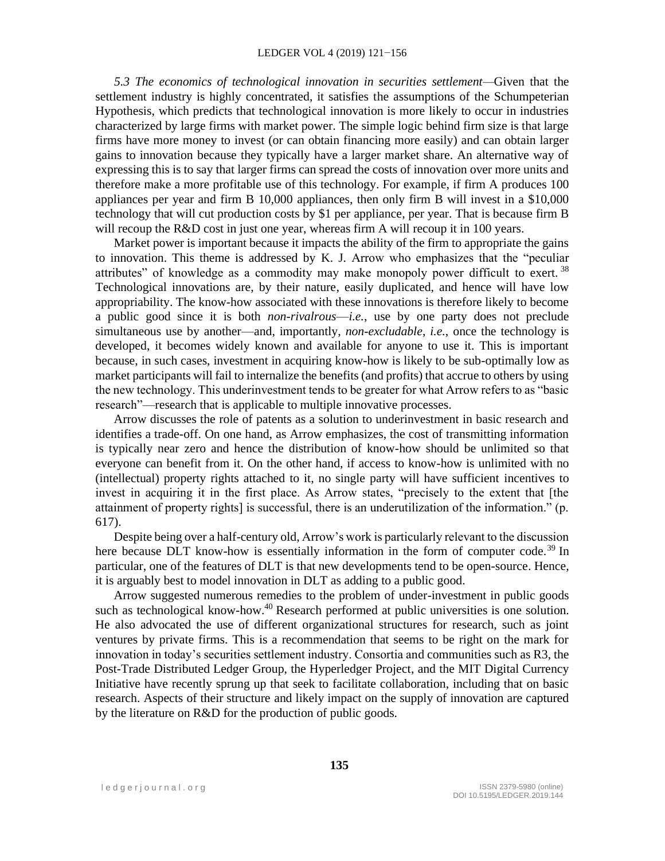*5.3 The economics of technological innovation in securities settlement—*Given that the settlement industry is highly concentrated, it satisfies the assumptions of the Schumpeterian Hypothesis, which predicts that technological innovation is more likely to occur in industries characterized by large firms with market power. The simple logic behind firm size is that large firms have more money to invest (or can obtain financing more easily) and can obtain larger gains to innovation because they typically have a larger market share. An alternative way of expressing this is to say that larger firms can spread the costs of innovation over more units and therefore make a more profitable use of this technology. For example, if firm A produces 100 appliances per year and firm B 10,000 appliances, then only firm B will invest in a \$10,000 technology that will cut production costs by \$1 per appliance, per year. That is because firm B will recoup the R&D cost in just one year, whereas firm A will recoup it in 100 years.

Market power is important because it impacts the ability of the firm to appropriate the gains to innovation. This theme is addressed by K. J. Arrow who emphasizes that the "peculiar attributes" of knowledge as a commodity may make monopoly power difficult to exert.  $38$ Technological innovations are, by their nature, easily duplicated, and hence will have low appropriability. The know-how associated with these innovations is therefore likely to become a public good since it is both *non-rivalrous*—*i.e.*, use by one party does not preclude simultaneous use by another—and, importantly, *non-excludable*, *i.e.*, once the technology is developed, it becomes widely known and available for anyone to use it. This is important because, in such cases, investment in acquiring know-how is likely to be sub-optimally low as market participants will fail to internalize the benefits (and profits) that accrue to others by using the new technology. This underinvestment tends to be greater for what Arrow refers to as "basic research"—research that is applicable to multiple innovative processes.

Arrow discusses the role of patents as a solution to underinvestment in basic research and identifies a trade-off. On one hand, as Arrow emphasizes, the cost of transmitting information is typically near zero and hence the distribution of know-how should be unlimited so that everyone can benefit from it. On the other hand, if access to know-how is unlimited with no (intellectual) property rights attached to it, no single party will have sufficient incentives to invest in acquiring it in the first place. As Arrow states, "precisely to the extent that [the attainment of property rights] is successful, there is an underutilization of the information." (p. 617).

Despite being over a half-century old, Arrow's work is particularly relevant to the discussion here because DLT know-how is essentially information in the form of computer code.<sup>39</sup> In particular, one of the features of DLT is that new developments tend to be open-source. Hence, it is arguably best to model innovation in DLT as adding to a public good.

Arrow suggested numerous remedies to the problem of under-investment in public goods such as technological know-how.<sup>40</sup> Research performed at public universities is one solution. He also advocated the use of different organizational structures for research, such as joint ventures by private firms. This is a recommendation that seems to be right on the mark for innovation in today's securities settlement industry. Consortia and communities such as R3, the Post-Trade Distributed Ledger Group, the Hyperledger Project, and the MIT Digital Currency Initiative have recently sprung up that seek to facilitate collaboration, including that on basic research. Aspects of their structure and likely impact on the supply of innovation are captured by the literature on R&D for the production of public goods.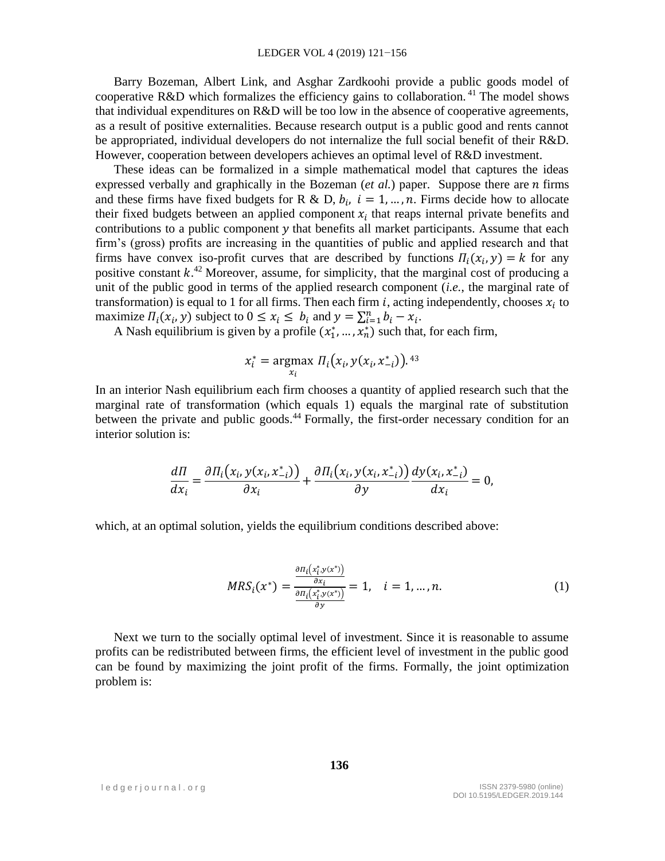Barry Bozeman, Albert Link, and Asghar Zardkoohi provide a public goods model of cooperative R&D which formalizes the efficiency gains to collaboration.<sup>41</sup> The model shows that individual expenditures on R&D will be too low in the absence of cooperative agreements, as a result of positive externalities. Because research output is a public good and rents cannot be appropriated, individual developers do not internalize the full social benefit of their R&D. However, cooperation between developers achieves an optimal level of R&D investment.

These ideas can be formalized in a simple mathematical model that captures the ideas expressed verbally and graphically in the Bozeman (*et al.*) paper. Suppose there are *n* firms and these firms have fixed budgets for R & D,  $b_i$ ,  $i = 1, ..., n$ . Firms decide how to allocate their fixed budgets between an applied component  $x_i$  that reaps internal private benefits and contributions to a public component  $\nu$  that benefits all market participants. Assume that each firm's (gross) profits are increasing in the quantities of public and applied research and that firms have convex iso-profit curves that are described by functions  $\Pi_i(x_i, y) = k$  for any positive constant  $k^{42}$  Moreover, assume, for simplicity, that the marginal cost of producing a unit of the public good in terms of the applied research component (*i.e.*, the marginal rate of transformation) is equal to 1 for all firms. Then each firm  $i$ , acting independently, chooses  $x_i$  to maximize  $\Pi_i(x_i, y)$  subject to  $0 \le x_i \le b_i$  and  $y = \sum_{i=1}^n b_i - x_i$ .

A Nash equilibrium is given by a profile  $(x_1^*, \dots, x_n^*)$  such that, for each firm,

<span id="page-15-0"></span>
$$
x_i^* = \underset{x_i}{\text{argmax}} \ \Pi_i(x_i, y(x_i, x_{-i}^*))^{.43}
$$

In an interior Nash equilibrium each firm chooses a quantity of applied research such that the marginal rate of transformation (which equals 1) equals the marginal rate of substitution between the private and public goods.<sup>44</sup> Formally, the first-order necessary condition for an interior solution is:

$$
\frac{d\Pi}{dx_i} = \frac{\partial \Pi_i(x_i, y(x_i, x_{-i}^*))}{\partial x_i} + \frac{\partial \Pi_i(x_i, y(x_i, x_{-i}^*))}{\partial y} \frac{dy(x_i, x_{-i}^*)}{dx_i} = 0,
$$

which, at an optimal solution, yields the equilibrium conditions described above:

$$
MRS_i(x^*) = \frac{\frac{\partial \pi_i(x_i^* y(x^*))}{\partial x_i}}{\frac{\partial \pi_i(x_i^* y(x^*))}{\partial y}} = 1, \quad i = 1, ..., n.
$$
 (1)

Next we turn to the socially optimal level of investment. Since it is reasonable to assume profits can be redistributed between firms, the efficient level of investment in the public good can be found by maximizing the joint profit of the firms. Formally, the joint optimization problem is: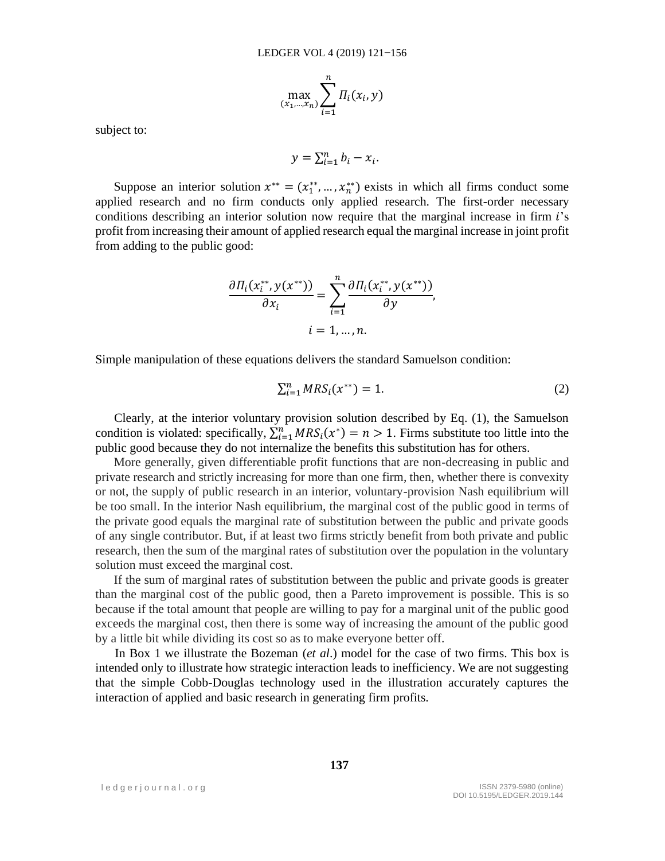$$
\max_{(x_1,\ldots,x_n)}\sum_{i=1}^n\Pi_i(x_i,y)
$$

subject to:

$$
y = \sum_{i=1}^n b_i - x_i.
$$

Suppose an interior solution  $x^{**} = (x_1^{**}, ..., x_n^{**})$  exists in which all firms conduct some applied research and no firm conducts only applied research. The first-order necessary conditions describing an interior solution now require that the marginal increase in firm *i*'s profit from increasing their amount of applied research equal the marginal increase in joint profit from adding to the public good:

$$
\frac{\partial \Pi_i(x_i^{**}, y(x^{**}))}{\partial x_i} = \sum_{i=1}^n \frac{\partial \Pi_i(x_i^{**}, y(x^{**}))}{\partial y},
$$
  

$$
i = 1, ..., n.
$$

Simple manipulation of these equations delivers the standard Samuelson condition:

$$
\sum_{i=1}^{n} MRS_i(x^{**}) = 1.
$$
 (2)

Clearly, at the interior voluntary provision solution described by Eq. (1), the Samuelson condition is violated: specifically,  $\sum_{i=1}^{n} MRS_i(x^*) = n > 1$ . Firms substitute too little into the public good because they do not internalize the benefits this substitution has for others.

More generally, given differentiable profit functions that are non-decreasing in public and private research and strictly increasing for more than one firm, then, whether there is convexity or not, the supply of public research in an interior, voluntary-provision Nash equilibrium will be too small. In the interior Nash equilibrium, the marginal cost of the public good in terms of the private good equals the marginal rate of substitution between the public and private goods of any single contributor. But, if at least two firms strictly benefit from both private and public research, then the sum of the marginal rates of substitution over the population in the voluntary solution must exceed the marginal cost.

If the sum of marginal rates of substitution between the public and private goods is greater than the marginal cost of the public good, then a Pareto improvement is possible. This is so because if the total amount that people are willing to pay for a marginal unit of the public good exceeds the marginal cost, then there is some way of increasing the amount of the public good by a little bit while dividing its cost so as to make everyone better off.

In Box 1 we illustrate the Bozeman (*et al*.) model for the case of two firms. This box is intended only to illustrate how strategic interaction leads to inefficiency. We are not suggesting that the simple Cobb-Douglas technology used in the illustration accurately captures the interaction of applied and basic research in generating firm profits.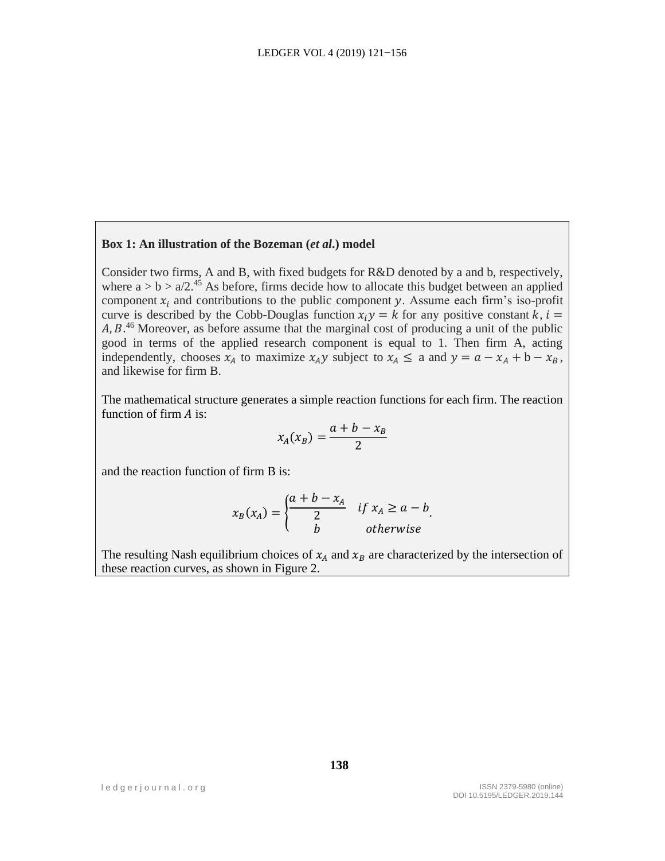#### **Box 1: An illustration of the Bozeman (***et al***.) model**

Consider two firms, A and B, with fixed budgets for R&D denoted by a and b, respectively, where  $a > b > a/2^{45}$  As before, firms decide how to allocate this budget between an applied component  $x_i$  and contributions to the public component y. Assume each firm's iso-profit curve is described by the Cobb-Douglas function  $x_i y = k$  for any positive constant  $k, i =$  $A, B<sup>46</sup>$  Moreover, as before assume that the marginal cost of producing a unit of the public good in terms of the applied research component is equal to 1. Then firm A, acting independently, chooses  $x_A$  to maximize  $x_A y$  subject to  $x_A \le a$  and  $y = a - x_A + b - x_B$ , and likewise for firm B.

The mathematical structure generates a simple reaction functions for each firm. The reaction function of firm  $\vec{A}$  is:

$$
x_A(x_B) = \frac{a+b-x_B}{2}
$$

and the reaction function of firm B is:

$$
x_B(x_A) = \begin{cases} \frac{a+b-x_A}{2} & \text{if } x_A \ge a-b \\ b & \text{otherwise} \end{cases}
$$

The resulting Nash equilibrium choices of  $x_A$  and  $x_B$  are characterized by the intersection of these reaction curves, as shown in Figure 2.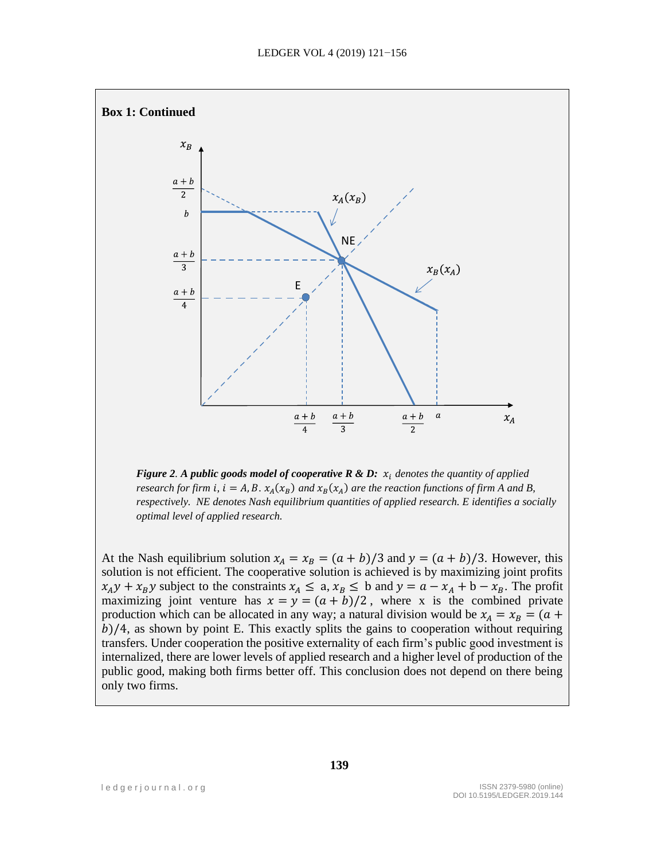

*Figure 2. A public goods model of cooperative R & D: denotes the quantity of applied research for firm i, i* = A, B.  $x_A(x_B)$  and  $x_B(x_A)$  are the reaction functions of firm A and B, *respectively. NE denotes Nash equilibrium quantities of applied research. E identifies a socially optimal level of applied research.* 

At the Nash equilibrium solution  $x_A = x_B = (a + b)/3$  and  $y = (a + b)/3$ . However, this solution is not efficient. The cooperative solution is achieved is by maximizing joint profits  $x_A y + x_B y$  subject to the constraints  $x_A \le a, x_B \le b$  and  $y = a - x_A + b - x_B$ . The profit maximizing joint venture has  $x = y = (a + b)/2$ , where x is the combined private production which can be allocated in any way; a natural division would be  $x_A = x_B = (a +$  $b$ /4, as shown by point E. This exactly splits the gains to cooperation without requiring transfers. Under cooperation the positive externality of each firm's public good investment is internalized, there are lower levels of applied research and a higher level of production of the public good, making both firms better off. This conclusion does not depend on there being only two firms.

le d g e r j o u r n a l . o r g ISSN 2379-5980 (online)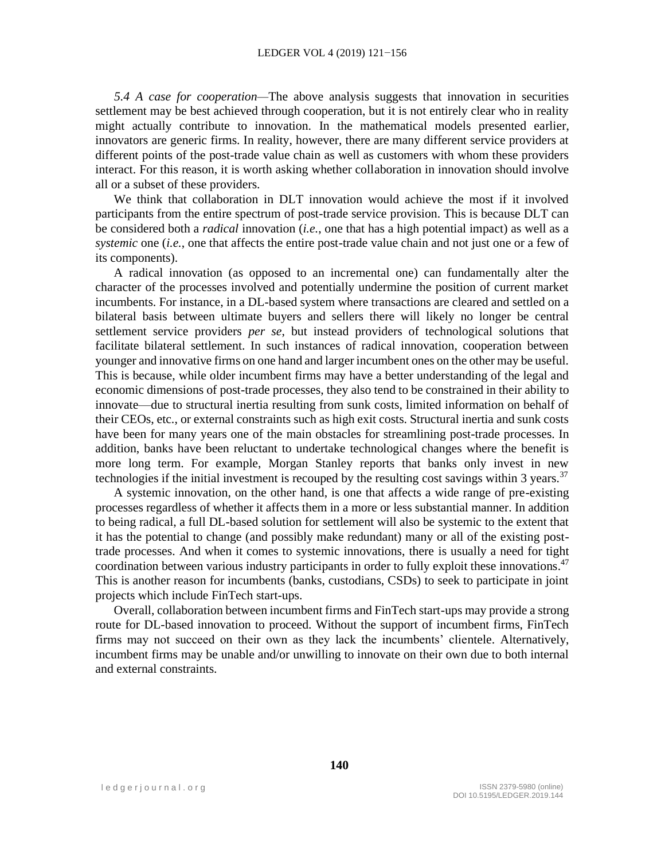#### LEDGER VOL 4 (2019) 121−156

*5.4 A case for cooperation—*The above analysis suggests that innovation in securities settlement may be best achieved through cooperation, but it is not entirely clear who in reality might actually contribute to innovation. In the mathematical models presented earlier, innovators are generic firms. In reality, however, there are many different service providers at different points of the post-trade value chain as well as customers with whom these providers interact. For this reason, it is worth asking whether collaboration in innovation should involve all or a subset of these providers.

We think that collaboration in DLT innovation would achieve the most if it involved participants from the entire spectrum of post-trade service provision. This is because DLT can be considered both a *radical* innovation (*i.e.*, one that has a high potential impact) as well as a *systemic* one (*i.e.*, one that affects the entire post-trade value chain and not just one or a few of its components).

A radical innovation (as opposed to an incremental one) can fundamentally alter the character of the processes involved and potentially undermine the position of current market incumbents. For instance, in a DL-based system where transactions are cleared and settled on a bilateral basis between ultimate buyers and sellers there will likely no longer be central settlement service providers *per se*, but instead providers of technological solutions that facilitate bilateral settlement. In such instances of radical innovation, cooperation between younger and innovative firms on one hand and larger incumbent ones on the other may be useful. This is because, while older incumbent firms may have a better understanding of the legal and economic dimensions of post-trade processes, they also tend to be constrained in their ability to innovate—due to structural inertia resulting from sunk costs, limited information on behalf of their CEOs, etc., or external constraints such as high exit costs. Structural inertia and sunk costs have been for many years one of the main obstacles for streamlining post-trade processes. In addition, banks have been reluctant to undertake technological changes where the benefit is more long term. For example, Morgan Stanley reports that banks only invest in new technologies if the initial investment is recouped by the resulting cost savings within 3 years.<sup>[37](#page-13-0)</sup>

A systemic innovation, on the other hand, is one that affects a wide range of pre-existing processes regardless of whether it affects them in a more or less substantial manner. In addition to being radical, a full DL-based solution for settlement will also be systemic to the extent that it has the potential to change (and possibly make redundant) many or all of the existing posttrade processes. And when it comes to systemic innovations, there is usually a need for tight coordination between various industry participants in order to fully exploit these innovations. 47 This is another reason for incumbents (banks, custodians, CSDs) to seek to participate in joint projects which include FinTech start-ups.

<span id="page-19-0"></span>Overall, collaboration between incumbent firms and FinTech start-ups may provide a strong route for DL-based innovation to proceed. Without the support of incumbent firms, FinTech firms may not succeed on their own as they lack the incumbents' clientele. Alternatively, incumbent firms may be unable and/or unwilling to innovate on their own due to both internal and external constraints.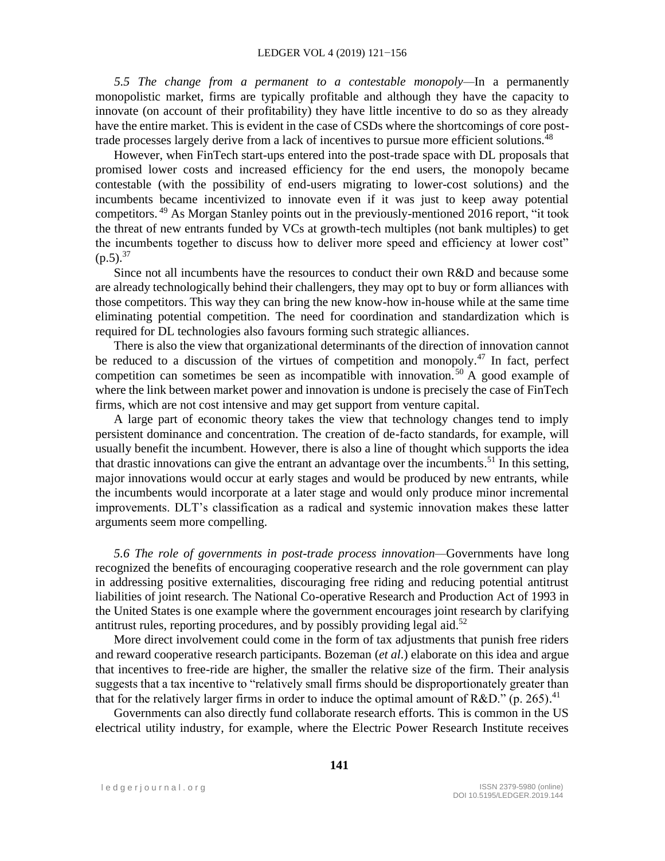*5.5 The change from a permanent to a contestable monopoly—*In a permanently monopolistic market, firms are typically profitable and although they have the capacity to innovate (on account of their profitability) they have little incentive to do so as they already have the entire market. This is evident in the case of CSDs where the shortcomings of core posttrade processes largely derive from a lack of incentives to pursue more efficient solutions.<sup>48</sup>

However, when FinTech start-ups entered into the post-trade space with DL proposals that promised lower costs and increased efficiency for the end users, the monopoly became contestable (with the possibility of end-users migrating to lower-cost solutions) and the incumbents became incentivized to innovate even if it was just to keep away potential competitors. <sup>49</sup> As Morgan Stanley points out in the previously-mentioned 2016 report, "it took the threat of new entrants funded by VCs at growth-tech multiples (not bank multiples) to get the incumbents together to discuss how to deliver more speed and efficiency at lower cost"  $(p.5)$ . [37](#page-13-0)

Since not all incumbents have the resources to conduct their own R&D and because some are already technologically behind their challengers, they may opt to buy or form alliances with those competitors. This way they can bring the new know-how in-house while at the same time eliminating potential competition. The need for coordination and standardization which is required for DL technologies also favours forming such strategic alliances.

There is also the view that organizational determinants of the direction of innovation cannot be reduced to a discussion of the virtues of competition and monopoly.<sup>[47](#page-19-0)</sup> In fact, perfect competition can sometimes be seen as incompatible with innovation.<sup>50</sup> A good example of where the link between market power and innovation is undone is precisely the case of FinTech firms, which are not cost intensive and may get support from venture capital.

A large part of economic theory takes the view that technology changes tend to imply persistent dominance and concentration. The creation of de-facto standards, for example, will usually benefit the incumbent. However, there is also a line of thought which supports the idea that drastic innovations can give the entrant an advantage over the incumbents.<sup>51</sup> In this setting, major innovations would occur at early stages and would be produced by new entrants, while the incumbents would incorporate at a later stage and would only produce minor incremental improvements. DLT's classification as a radical and systemic innovation makes these latter arguments seem more compelling.

*5.6 The role of governments in post-trade process innovation—*Governments have long recognized the benefits of encouraging cooperative research and the role government can play in addressing positive externalities, discouraging free riding and reducing potential antitrust liabilities of joint research. The National Co-operative Research and Production Act of 1993 in the United States is one example where the government encourages joint research by clarifying antitrust rules, reporting procedures, and by possibly providing legal aid. $52$ 

More direct involvement could come in the form of tax adjustments that punish free riders and reward cooperative research participants. Bozeman (*et al*.) elaborate on this idea and argue that incentives to free-ride are higher, the smaller the relative size of the firm. Their analysis suggests that a tax incentive to "relatively small firms should be disproportionately greater than that for the relatively larger firms in order to induce the optimal amount of R&D." (p. 265).<sup>[41](#page-15-0)</sup>

Governments can also directly fund collaborate research efforts. This is common in the US electrical utility industry, for example, where the Electric Power Research Institute receives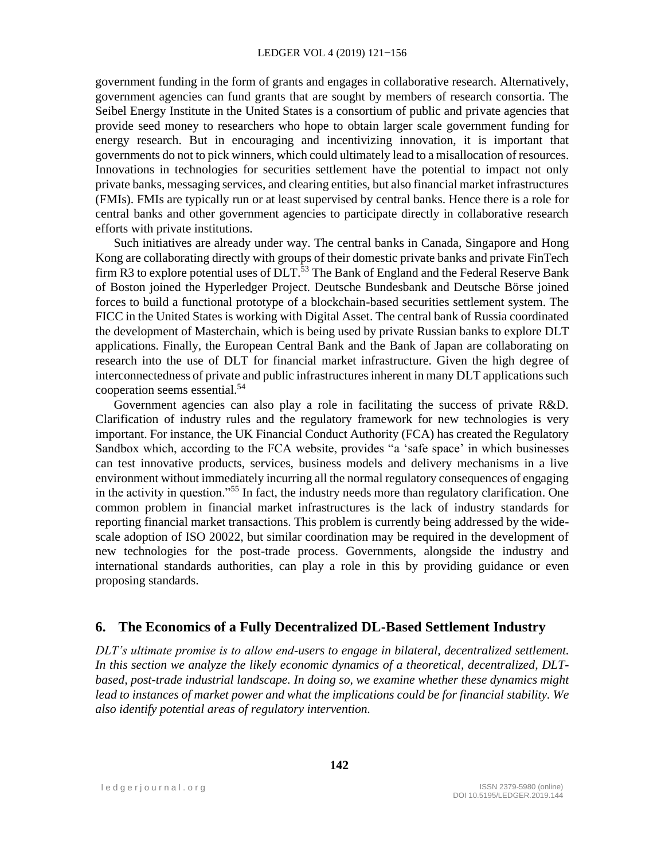government funding in the form of grants and engages in collaborative research. Alternatively, government agencies can fund grants that are sought by members of research consortia. The Seibel Energy Institute in the United States is a consortium of public and private agencies that provide seed money to researchers who hope to obtain larger scale government funding for energy research. But in encouraging and incentivizing innovation, it is important that governments do not to pick winners, which could ultimately lead to a misallocation of resources. Innovations in technologies for securities settlement have the potential to impact not only private banks, messaging services, and clearing entities, but also financial market infrastructures (FMIs). FMIs are typically run or at least supervised by central banks. Hence there is a role for central banks and other government agencies to participate directly in collaborative research efforts with private institutions.

Such initiatives are already under way. The central banks in Canada, Singapore and Hong Kong are collaborating directly with groups of their domestic private banks and private FinTech firm R3 to explore potential uses of  $\text{DLT}$ .<sup>53</sup> The Bank of England and the Federal Reserve Bank of Boston joined the Hyperledger Project. Deutsche Bundesbank and Deutsche Börse joined forces to build a functional prototype of a blockchain-based securities settlement system. The FICC in the United States is working with Digital Asset. The central bank of Russia coordinated the development of Masterchain, which is being used by private Russian banks to explore DLT applications. Finally, the European Central Bank and the Bank of Japan are collaborating on research into the use of DLT for financial market infrastructure. Given the high degree of interconnectedness of private and public infrastructures inherent in many DLT applications such cooperation seems essential.<sup>54</sup>

Government agencies can also play a role in facilitating the success of private R&D. Clarification of industry rules and the regulatory framework for new technologies is very important. For instance, the UK Financial Conduct Authority (FCA) has created the Regulatory Sandbox which, according to the FCA website, provides "a 'safe space' in which businesses can test innovative products, services, business models and delivery mechanisms in a live environment without immediately incurring all the normal regulatory consequences of engaging in the activity in question."<sup>55</sup> In fact, the industry needs more than regulatory clarification. One common problem in financial market infrastructures is the lack of industry standards for reporting financial market transactions. This problem is currently being addressed by the widescale adoption of ISO 20022, but similar coordination may be required in the development of new technologies for the post-trade process. Governments, alongside the industry and international standards authorities, can play a role in this by providing guidance or even proposing standards.

## **6. The Economics of a Fully Decentralized DL-Based Settlement Industry**

*DLT's ultimate promise is to allow end-users to engage in bilateral, decentralized settlement. In this section we analyze the likely economic dynamics of a theoretical, decentralized, DLTbased, post-trade industrial landscape. In doing so, we examine whether these dynamics might lead to instances of market power and what the implications could be for financial stability. We also identify potential areas of regulatory intervention.*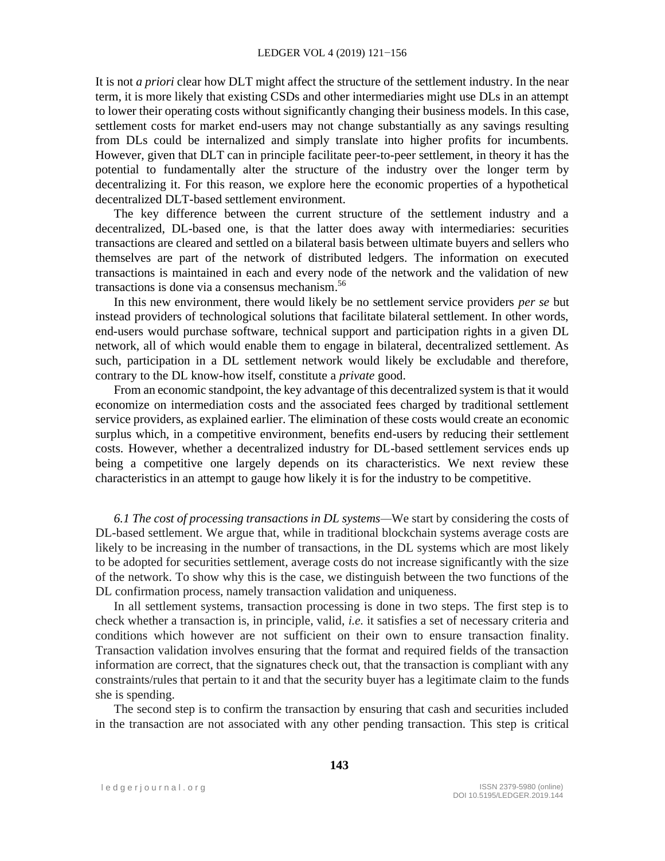It is not *a priori* clear how DLT might affect the structure of the settlement industry. In the near term, it is more likely that existing CSDs and other intermediaries might use DLs in an attempt to lower their operating costs without significantly changing their business models. In this case, settlement costs for market end-users may not change substantially as any savings resulting from DLs could be internalized and simply translate into higher profits for incumbents. However, given that DLT can in principle facilitate peer-to-peer settlement, in theory it has the potential to fundamentally alter the structure of the industry over the longer term by decentralizing it. For this reason, we explore here the economic properties of a hypothetical decentralized DLT-based settlement environment.

The key difference between the current structure of the settlement industry and a decentralized, DL-based one, is that the latter does away with intermediaries: securities transactions are cleared and settled on a bilateral basis between ultimate buyers and sellers who themselves are part of the network of distributed ledgers. The information on executed transactions is maintained in each and every node of the network and the validation of new transactions is done via a consensus mechanism. 56

In this new environment, there would likely be no settlement service providers *per se* but instead providers of technological solutions that facilitate bilateral settlement. In other words, end-users would purchase software, technical support and participation rights in a given DL network, all of which would enable them to engage in bilateral, decentralized settlement. As such, participation in a DL settlement network would likely be excludable and therefore, contrary to the DL know-how itself, constitute a *private* good.

From an economic standpoint, the key advantage of this decentralized system is that it would economize on intermediation costs and the associated fees charged by traditional settlement service providers, as explained earlier. The elimination of these costs would create an economic surplus which, in a competitive environment, benefits end-users by reducing their settlement costs. However, whether a decentralized industry for DL-based settlement services ends up being a competitive one largely depends on its characteristics. We next review these characteristics in an attempt to gauge how likely it is for the industry to be competitive.

*6.1 The cost of processing transactions in DL systems—*We start by considering the costs of DL-based settlement. We argue that, while in traditional blockchain systems average costs are likely to be increasing in the number of transactions, in the DL systems which are most likely to be adopted for securities settlement, average costs do not increase significantly with the size of the network. To show why this is the case, we distinguish between the two functions of the DL confirmation process, namely transaction validation and uniqueness.

In all settlement systems, transaction processing is done in two steps. The first step is to check whether a transaction is, in principle, valid, *i.e.* it satisfies a set of necessary criteria and conditions which however are not sufficient on their own to ensure transaction finality. Transaction validation involves ensuring that the format and required fields of the transaction information are correct, that the signatures check out, that the transaction is compliant with any constraints/rules that pertain to it and that the security buyer has a legitimate claim to the funds she is spending.

The second step is to confirm the transaction by ensuring that cash and securities included in the transaction are not associated with any other pending transaction. This step is critical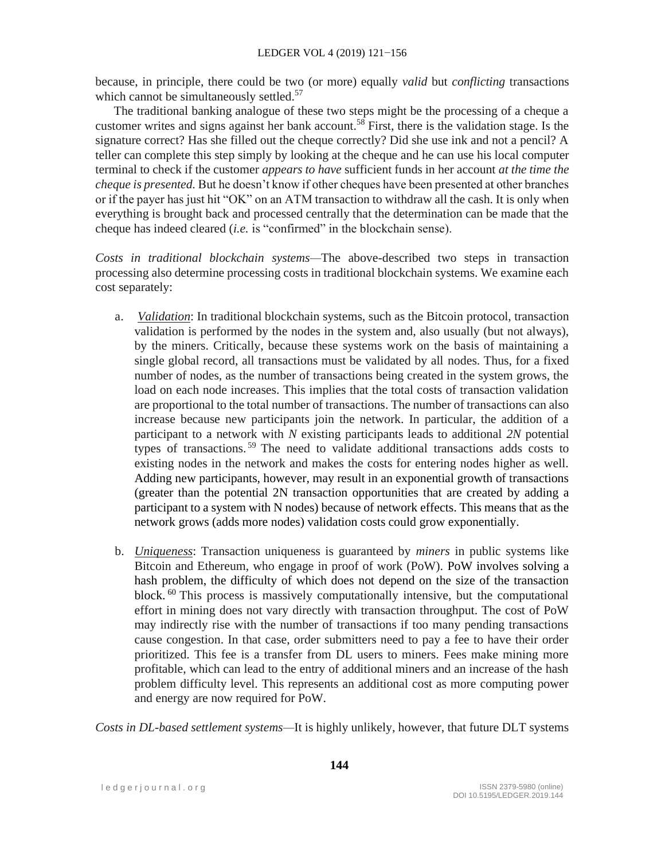because, in principle, there could be two (or more) equally *valid* but *conflicting* transactions which cannot be simultaneously settled.<sup>57</sup>

The traditional banking analogue of these two steps might be the processing of a cheque a customer writes and signs against her bank account.<sup>58</sup> First, there is the validation stage. Is the signature correct? Has she filled out the cheque correctly? Did she use ink and not a pencil? A teller can complete this step simply by looking at the cheque and he can use his local computer terminal to check if the customer *appears to have* sufficient funds in her account *at the time the cheque is presented.* But he doesn't know if other cheques have been presented at other branches or if the payer has just hit "OK" on an ATM transaction to withdraw all the cash. It is only when everything is brought back and processed centrally that the determination can be made that the cheque has indeed cleared (*i.e.* is "confirmed" in the blockchain sense).

*Costs in traditional blockchain systems—*The above-described two steps in transaction processing also determine processing costs in traditional blockchain systems. We examine each cost separately:

- a. *Validation*: In traditional blockchain systems, such as the Bitcoin protocol, transaction validation is performed by the nodes in the system and, also usually (but not always), by the miners. Critically, because these systems work on the basis of maintaining a single global record, all transactions must be validated by all nodes. Thus, for a fixed number of nodes, as the number of transactions being created in the system grows, the load on each node increases. This implies that the total costs of transaction validation are proportional to the total number of transactions. The number of transactions can also increase because new participants join the network. In particular, the addition of a participant to a network with *N* existing participants leads to additional *2N* potential types of transactions. <sup>59</sup> The need to validate additional transactions adds costs to existing nodes in the network and makes the costs for entering nodes higher as well. Adding new participants, however, may result in an exponential growth of transactions (greater than the potential 2N transaction opportunities that are created by adding a participant to a system with N nodes) because of network effects. This means that as the network grows (adds more nodes) validation costs could grow exponentially.
- b. *Uniqueness*: Transaction uniqueness is guaranteed by *miners* in public systems like Bitcoin and Ethereum, who engage in proof of work (PoW). PoW involves solving a hash problem, the difficulty of which does not depend on the size of the transaction block. <sup>60</sup> This process is massively computationally intensive, but the computational effort in mining does not vary directly with transaction throughput. The cost of PoW may indirectly rise with the number of transactions if too many pending transactions cause congestion. In that case, order submitters need to pay a fee to have their order prioritized. This fee is a transfer from DL users to miners. Fees make mining more profitable, which can lead to the entry of additional miners and an increase of the hash problem difficulty level. This represents an additional cost as more computing power and energy are now required for PoW.

*Costs in DL-based settlement systems—*It is highly unlikely, however, that future DLT systems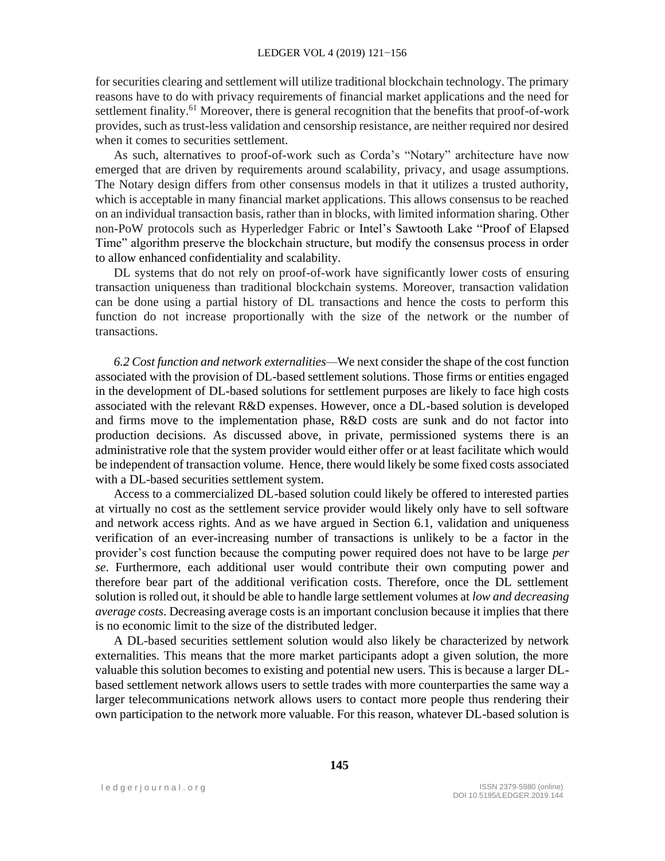for securities clearing and settlement will utilize traditional blockchain technology. The primary reasons have to do with privacy requirements of financial market applications and the need for settlement finality.<sup>61</sup> Moreover, there is general recognition that the benefits that proof-of-work provides, such as trust-less validation and censorship resistance, are neither required nor desired when it comes to securities settlement.

As such, alternatives to proof-of-work such as Corda's "Notary" architecture have now emerged that are driven by requirements around scalability, privacy, and usage assumptions. The Notary design differs from other consensus models in that it utilizes a trusted authority, which is acceptable in many financial market applications. This allows consensus to be reached on an individual transaction basis, rather than in blocks, with limited information sharing. Other non-PoW protocols such as Hyperledger Fabric or Intel's Sawtooth Lake "Proof of Elapsed Time" algorithm preserve the blockchain structure, but modify the consensus process in order to allow enhanced confidentiality and scalability.

DL systems that do not rely on proof-of-work have significantly lower costs of ensuring transaction uniqueness than traditional blockchain systems. Moreover, transaction validation can be done using a partial history of DL transactions and hence the costs to perform this function do not increase proportionally with the size of the network or the number of transactions.

*6.2 Cost function and network externalities—*We next consider the shape of the cost function associated with the provision of DL-based settlement solutions. Those firms or entities engaged in the development of DL-based solutions for settlement purposes are likely to face high costs associated with the relevant R&D expenses. However, once a DL-based solution is developed and firms move to the implementation phase, R&D costs are sunk and do not factor into production decisions. As discussed above, in private, permissioned systems there is an administrative role that the system provider would either offer or at least facilitate which would be independent of transaction volume. Hence, there would likely be some fixed costs associated with a DL-based securities settlement system.

Access to a commercialized DL-based solution could likely be offered to interested parties at virtually no cost as the settlement service provider would likely only have to sell software and network access rights. And as we have argued in Section 6.1, validation and uniqueness verification of an ever-increasing number of transactions is unlikely to be a factor in the provider's cost function because the computing power required does not have to be large *per se*. Furthermore, each additional user would contribute their own computing power and therefore bear part of the additional verification costs. Therefore, once the DL settlement solution is rolled out, it should be able to handle large settlement volumes at *low and decreasing average costs*. Decreasing average costs is an important conclusion because it implies that there is no economic limit to the size of the distributed ledger.

A DL-based securities settlement solution would also likely be characterized by network externalities. This means that the more market participants adopt a given solution, the more valuable this solution becomes to existing and potential new users. This is because a larger DLbased settlement network allows users to settle trades with more counterparties the same way a larger telecommunications network allows users to contact more people thus rendering their own participation to the network more valuable. For this reason, whatever DL-based solution is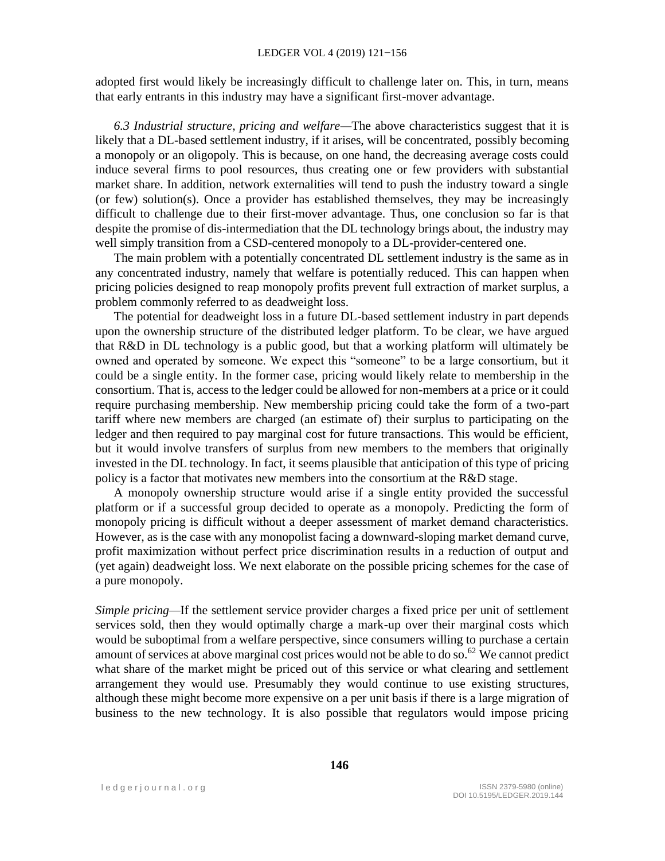adopted first would likely be increasingly difficult to challenge later on. This, in turn, means that early entrants in this industry may have a significant first-mover advantage.

*6.3 Industrial structure, pricing and welfare—*The above characteristics suggest that it is likely that a DL-based settlement industry, if it arises, will be concentrated, possibly becoming a monopoly or an oligopoly. This is because, on one hand, the decreasing average costs could induce several firms to pool resources, thus creating one or few providers with substantial market share. In addition, network externalities will tend to push the industry toward a single (or few) solution(s). Once a provider has established themselves, they may be increasingly difficult to challenge due to their first-mover advantage. Thus, one conclusion so far is that despite the promise of dis-intermediation that the DL technology brings about, the industry may well simply transition from a CSD-centered monopoly to a DL-provider-centered one.

The main problem with a potentially concentrated DL settlement industry is the same as in any concentrated industry, namely that welfare is potentially reduced. This can happen when pricing policies designed to reap monopoly profits prevent full extraction of market surplus, a problem commonly referred to as deadweight loss.

The potential for deadweight loss in a future DL-based settlement industry in part depends upon the ownership structure of the distributed ledger platform. To be clear, we have argued that R&D in DL technology is a public good, but that a working platform will ultimately be owned and operated by someone. We expect this "someone" to be a large consortium, but it could be a single entity. In the former case, pricing would likely relate to membership in the consortium. That is, access to the ledger could be allowed for non-members at a price or it could require purchasing membership. New membership pricing could take the form of a two-part tariff where new members are charged (an estimate of) their surplus to participating on the ledger and then required to pay marginal cost for future transactions. This would be efficient, but it would involve transfers of surplus from new members to the members that originally invested in the DL technology. In fact, it seems plausible that anticipation of this type of pricing policy is a factor that motivates new members into the consortium at the R&D stage.

A monopoly ownership structure would arise if a single entity provided the successful platform or if a successful group decided to operate as a monopoly. Predicting the form of monopoly pricing is difficult without a deeper assessment of market demand characteristics. However, as is the case with any monopolist facing a downward-sloping market demand curve, profit maximization without perfect price discrimination results in a reduction of output and (yet again) deadweight loss. We next elaborate on the possible pricing schemes for the case of a pure monopoly.

*Simple pricing—*If the settlement service provider charges a fixed price per unit of settlement services sold, then they would optimally charge a mark-up over their marginal costs which would be suboptimal from a welfare perspective, since consumers willing to purchase a certain amount of services at above marginal cost prices would not be able to do so.<sup>62</sup> We cannot predict what share of the market might be priced out of this service or what clearing and settlement arrangement they would use. Presumably they would continue to use existing structures, although these might become more expensive on a per unit basis if there is a large migration of business to the new technology. It is also possible that regulators would impose pricing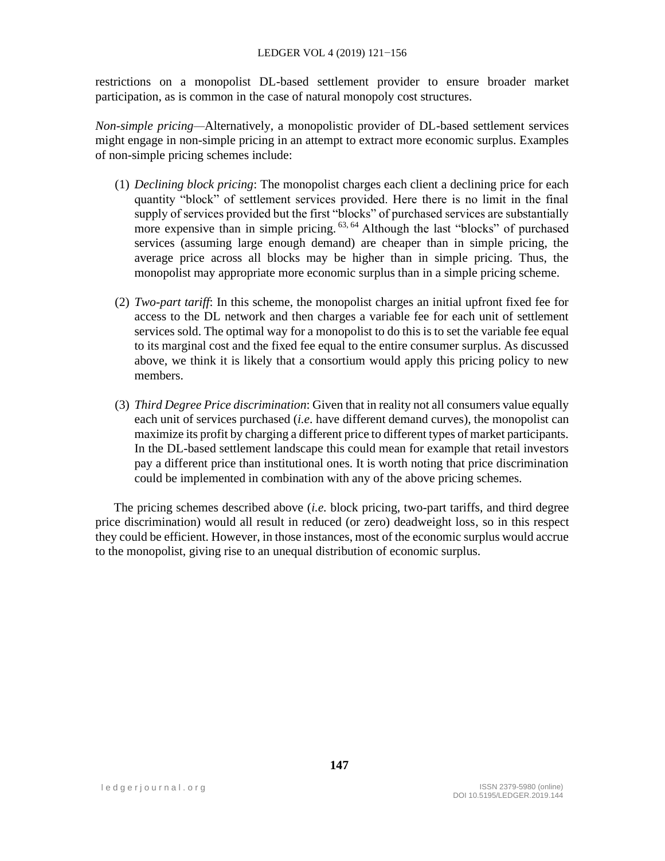#### LEDGER VOL 4 (2019) 121−156

restrictions on a monopolist DL-based settlement provider to ensure broader market participation, as is common in the case of natural monopoly cost structures.

*Non-simple pricing—*Alternatively, a monopolistic provider of DL-based settlement services might engage in non-simple pricing in an attempt to extract more economic surplus. Examples of non-simple pricing schemes include:

- (1) *Declining block pricing*: The monopolist charges each client a declining price for each quantity "block" of settlement services provided. Here there is no limit in the final supply of services provided but the first "blocks" of purchased services are substantially more expensive than in simple pricing. <sup>63, 64</sup> Although the last "blocks" of purchased services (assuming large enough demand) are cheaper than in simple pricing, the average price across all blocks may be higher than in simple pricing. Thus, the monopolist may appropriate more economic surplus than in a simple pricing scheme.
- (2) *Two-part tariff*: In this scheme, the monopolist charges an initial upfront fixed fee for access to the DL network and then charges a variable fee for each unit of settlement services sold. The optimal way for a monopolist to do this is to set the variable fee equal to its marginal cost and the fixed fee equal to the entire consumer surplus. As discussed above, we think it is likely that a consortium would apply this pricing policy to new members.
- (3) *Third Degree Price discrimination*: Given that in reality not all consumers value equally each unit of services purchased (*i.e.* have different demand curves), the monopolist can maximize its profit by charging a different price to different types of market participants. In the DL-based settlement landscape this could mean for example that retail investors pay a different price than institutional ones. It is worth noting that price discrimination could be implemented in combination with any of the above pricing schemes.

The pricing schemes described above (*i.e.* block pricing, two-part tariffs, and third degree price discrimination) would all result in reduced (or zero) deadweight loss, so in this respect they could be efficient. However, in those instances, most of the economic surplus would accrue to the monopolist, giving rise to an unequal distribution of economic surplus.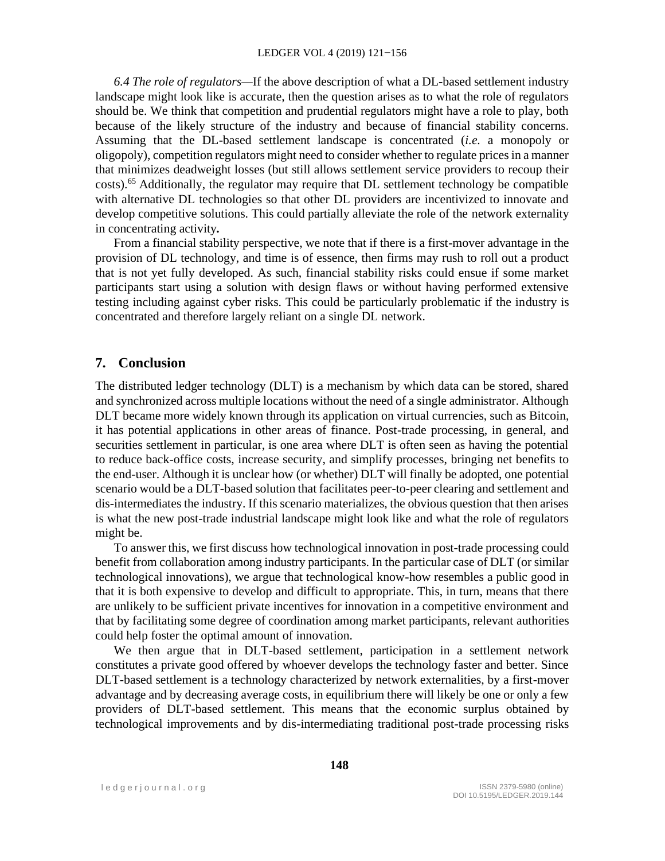*6.4 The role of regulators—*If the above description of what a DL-based settlement industry landscape might look like is accurate, then the question arises as to what the role of regulators should be. We think that competition and prudential regulators might have a role to play, both because of the likely structure of the industry and because of financial stability concerns. Assuming that the DL-based settlement landscape is concentrated (*i.e.* a monopoly or oligopoly), competition regulators might need to consider whether to regulate prices in a manner that minimizes deadweight losses (but still allows settlement service providers to recoup their costs).<sup>65</sup> Additionally, the regulator may require that DL settlement technology be compatible with alternative DL technologies so that other DL providers are incentivized to innovate and develop competitive solutions. This could partially alleviate the role of the network externality in concentrating activity*.* 

From a financial stability perspective, we note that if there is a first-mover advantage in the provision of DL technology, and time is of essence, then firms may rush to roll out a product that is not yet fully developed. As such, financial stability risks could ensue if some market participants start using a solution with design flaws or without having performed extensive testing including against cyber risks. This could be particularly problematic if the industry is concentrated and therefore largely reliant on a single DL network.

### **7. Conclusion**

The distributed ledger technology (DLT) is a mechanism by which data can be stored, shared and synchronized across multiple locations without the need of a single administrator. Although DLT became more widely known through its application on virtual currencies, such as Bitcoin, it has potential applications in other areas of finance. Post-trade processing, in general, and securities settlement in particular, is one area where DLT is often seen as having the potential to reduce back-office costs, increase security, and simplify processes, bringing net benefits to the end-user. Although it is unclear how (or whether) DLT will finally be adopted, one potential scenario would be a DLT-based solution that facilitates peer-to-peer clearing and settlement and dis-intermediates the industry. If this scenario materializes, the obvious question that then arises is what the new post-trade industrial landscape might look like and what the role of regulators might be.

To answer this, we first discuss how technological innovation in post-trade processing could benefit from collaboration among industry participants. In the particular case of DLT (or similar technological innovations), we argue that technological know-how resembles a public good in that it is both expensive to develop and difficult to appropriate. This, in turn, means that there are unlikely to be sufficient private incentives for innovation in a competitive environment and that by facilitating some degree of coordination among market participants, relevant authorities could help foster the optimal amount of innovation.

We then argue that in DLT-based settlement, participation in a settlement network constitutes a private good offered by whoever develops the technology faster and better. Since DLT-based settlement is a technology characterized by network externalities, by a first-mover advantage and by decreasing average costs, in equilibrium there will likely be one or only a few providers of DLT-based settlement. This means that the economic surplus obtained by technological improvements and by dis-intermediating traditional post-trade processing risks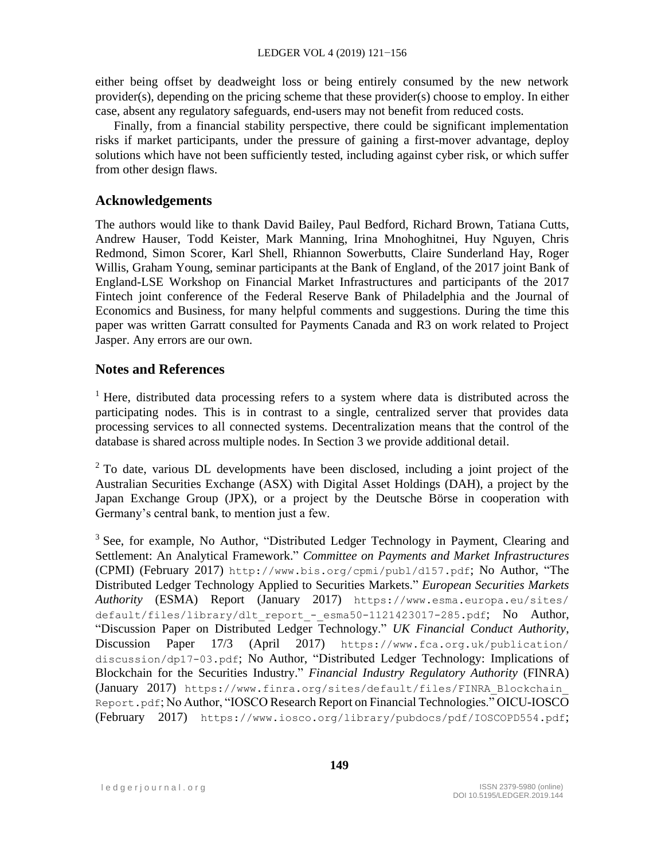either being offset by deadweight loss or being entirely consumed by the new network provider(s), depending on the pricing scheme that these provider(s) choose to employ. In either case, absent any regulatory safeguards, end-users may not benefit from reduced costs.

Finally, from a financial stability perspective, there could be significant implementation risks if market participants, under the pressure of gaining a first-mover advantage, deploy solutions which have not been sufficiently tested, including against cyber risk, or which suffer from other design flaws.

## **Acknowledgements**

The authors would like to thank David Bailey, Paul Bedford, Richard Brown, Tatiana Cutts, Andrew Hauser, Todd Keister, Mark Manning, Irina Mnohoghitnei, Huy Nguyen, Chris Redmond, Simon Scorer, Karl Shell, Rhiannon Sowerbutts, Claire Sunderland Hay, Roger Willis, Graham Young, seminar participants at the Bank of England, of the 2017 joint Bank of England-LSE Workshop on Financial Market Infrastructures and participants of the 2017 Fintech joint conference of the Federal Reserve Bank of Philadelphia and the Journal of Economics and Business, for many helpful comments and suggestions. During the time this paper was written Garratt consulted for Payments Canada and R3 on work related to Project Jasper. Any errors are our own.

## **Notes and References**

<sup>1</sup> Here, distributed data processing refers to a system where data is distributed across the participating nodes. This is in contrast to a single, centralized server that provides data processing services to all connected systems. Decentralization means that the control of the database is shared across multiple nodes. In Section 3 we provide additional detail.

<sup>2</sup> To date, various DL developments have been disclosed, including a joint project of the Australian Securities Exchange (ASX) with Digital Asset Holdings (DAH), a project by the Japan Exchange Group (JPX), or a project by the Deutsche Börse in cooperation with Germany's central bank, to mention just a few.

<sup>3</sup> See, for example, No Author, "Distributed Ledger Technology in Payment, Clearing and Settlement: An Analytical Framework." *Committee on Payments and Market Infrastructures*  (CPMI) (February 2017) http://www.bis.org/cpmi/publ/d157.pdf; No Author, "The Distributed Ledger Technology Applied to Securities Markets." *European Securities Markets Authority* (ESMA) Report (January 2017) https://www.esma.europa.eu/sites/ default/files/library/dlt report - esma50-1121423017-285.pdf; No Author, "Discussion Paper on Distributed Ledger Technology." *UK Financial Conduct Authority*, Discussion Paper 17/3 (April 2017) https://www.fca.org.uk/publication/ discussion/dp17-03.pdf; No Author, "Distributed Ledger Technology: Implications of Blockchain for the Securities Industry." *Financial Industry Regulatory Authority* (FINRA) (January 2017) https://www.finra.org/sites/default/files/FINRA\_Blockchain\_ Report.pdf; No Author, "IOSCO Research Report on Financial Technologies." OICU-IOSCO (February 2017) https://www.iosco.org/library/pubdocs/pdf/IOSCOPD554.pdf;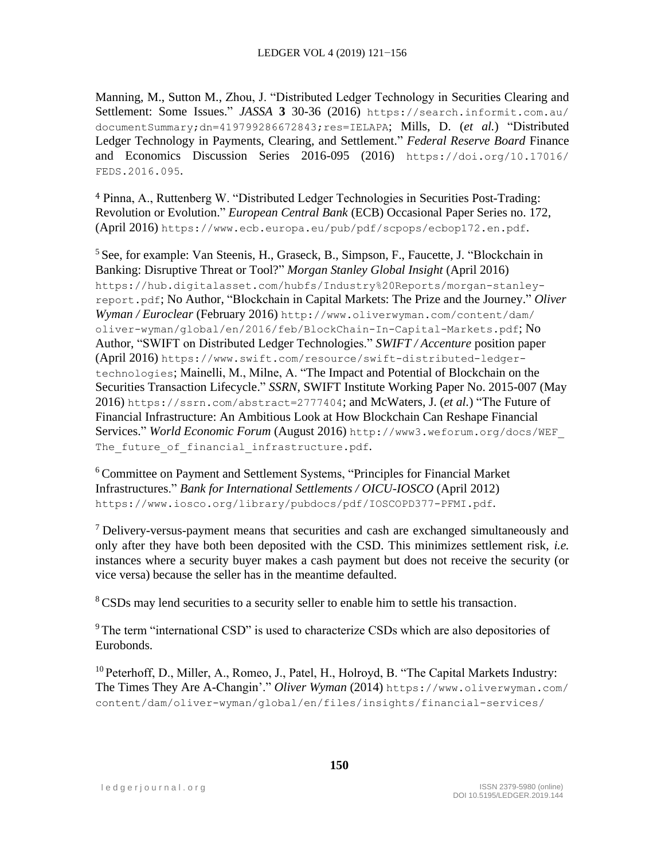Manning, M., Sutton M., Zhou, J. "Distributed Ledger Technology in Securities Clearing and Settlement: Some Issues." *JASSA* **3** 30-36 (2016) https://search.informit.com.au/ documentSummary;dn=419799286672843;res=IELAPA; Mills, D. (*et al.*) "Distributed Ledger Technology in Payments, Clearing, and Settlement." *Federal Reserve Board* Finance and Economics Discussion Series 2016-095 (2016) https://doi.org/10.17016/ FEDS.2016.095.

<sup>4</sup> Pinna, A., Ruttenberg W. "Distributed Ledger Technologies in Securities Post-Trading: Revolution or Evolution." *European Central Bank* (ECB) Occasional Paper Series no. 172, (April 2016) https://www.ecb.europa.eu/pub/pdf/scpops/ecbop172.en.pdf.

<sup>5</sup> See, for example: Van Steenis, H., Graseck, B., Simpson, F., Faucette, J. "Blockchain in Banking: Disruptive Threat or Tool?" *Morgan Stanley Global Insight* (April 2016) https://hub.digitalasset.com/hubfs/Industry%20Reports/morgan-stanleyreport.pdf; No Author, "Blockchain in Capital Markets: The Prize and the Journey." *Oliver Wyman / Euroclear* (February 2016) http://www.oliverwyman.com/content/dam/ oliver-wyman/global/en/2016/feb/BlockChain-In-Capital-Markets.pdf; No Author, "SWIFT on Distributed Ledger Technologies." *SWIFT / Accenture* position paper (April 2016) https://www.swift.com/resource/swift-distributed-ledgertechnologies; Mainelli, M., Milne, A. "The Impact and Potential of Blockchain on the Securities Transaction Lifecycle." *SSRN*, SWIFT Institute Working Paper No. 2015-007 (May 2016) https://ssrn.com/abstract=2777404; and McWaters, J. (*et al.*) "The Future of Financial Infrastructure: An Ambitious Look at How Blockchain Can Reshape Financial Services." *World Economic Forum* (August 2016) http://www3.weforum.org/docs/WEF\_ The future of financial infrastructure.pdf.

<sup>6</sup> Committee on Payment and Settlement Systems, "Principles for Financial Market Infrastructures." *Bank for International Settlements / OICU-IOSCO* (April 2012) https://www.iosco.org/library/pubdocs/pdf/IOSCOPD377-PFMI.pdf.

 $<sup>7</sup>$  Delivery-versus-payment means that securities and cash are exchanged simultaneously and</sup> only after they have both been deposited with the CSD. This minimizes settlement risk, *i.e.* instances where a security buyer makes a cash payment but does not receive the security (or vice versa) because the seller has in the meantime defaulted.

 $8$  CSDs may lend securities to a security seller to enable him to settle his transaction.

 $9$ The term "international CSD" is used to characterize CSDs which are also depositories of Eurobonds.

<sup>10</sup> Peterhoff, D., Miller, A., Romeo, J., Patel, H., Holroyd, B. "The Capital Markets Industry: The Times They Are A-Changin'." *Oliver Wyman* (2014) https://www.oliverwyman.com/ content/dam/oliver-wyman/global/en/files/insights/financial-services/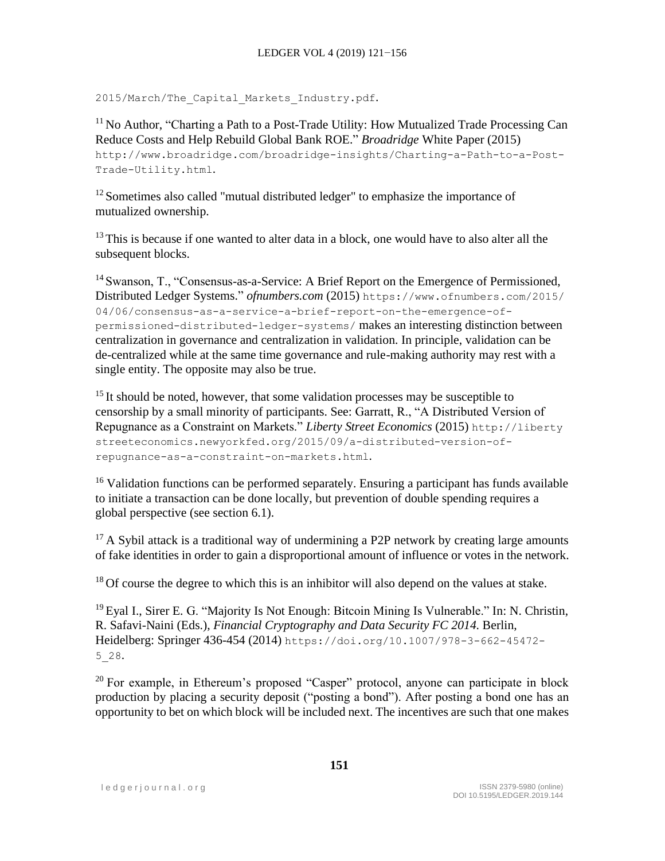2015/March/The\_Capital\_Markets\_Industry.pdf.

<sup>11</sup> No Author, "Charting a Path to a Post-Trade Utility: How Mutualized Trade Processing Can Reduce Costs and Help Rebuild Global Bank ROE." *Broadridge* White Paper (2015) http://www.broadridge.com/broadridge-insights/Charting-a-Path-to-a-Post-Trade-Utility.html.

<sup>12</sup> Sometimes also called "mutual distributed ledger" to emphasize the importance of mutualized ownership.

 $13$ <sup>13</sup>This is because if one wanted to alter data in a block, one would have to also alter all the subsequent blocks.

<sup>14</sup> Swanson, T., "Consensus-as-a-Service: A Brief Report on the Emergence of Permissioned, Distributed Ledger Systems." *ofnumbers.com* (2015) https://www.ofnumbers.com/2015/ 04/06/consensus-as-a-service-a-brief-report-on-the-emergence-ofpermissioned-distributed-ledger-systems/ makes an interesting distinction between centralization in governance and centralization in validation. In principle, validation can be de-centralized while at the same time governance and rule-making authority may rest with a single entity. The opposite may also be true.

<sup>15</sup> It should be noted, however, that some validation processes may be susceptible to censorship by a small minority of participants. See: Garratt, R., "A Distributed Version of Repugnance as a Constraint on Markets." *Liberty Street Economics* (2015) http://liberty streeteconomics.newyorkfed.org/2015/09/a-distributed-version-ofrepugnance-as-a-constraint-on-markets.html.

 $16$  Validation functions can be performed separately. Ensuring a participant has funds available to initiate a transaction can be done locally, but prevention of double spending requires a global perspective (see section 6.1).

 $17$  A Sybil attack is a traditional way of undermining a P2P network by creating large amounts of fake identities in order to gain a disproportional amount of influence or votes in the network.

 $18$  Of course the degree to which this is an inhibitor will also depend on the values at stake.

<sup>19</sup> Eyal I., Sirer E. G. "Majority Is Not Enough: Bitcoin Mining Is Vulnerable." In: N. Christin, R. Safavi-Naini (Eds.), *Financial Cryptography and Data Security FC 2014.* Berlin, Heidelberg: Springer 436-454 (2014) https://doi.org/10.1007/978-3-662-45472- 5\_28.

 $20$  For example, in Ethereum's proposed "Casper" protocol, anyone can participate in block production by placing a security deposit ("posting a bond"). After posting a bond one has an opportunity to bet on which block will be included next. The incentives are such that one makes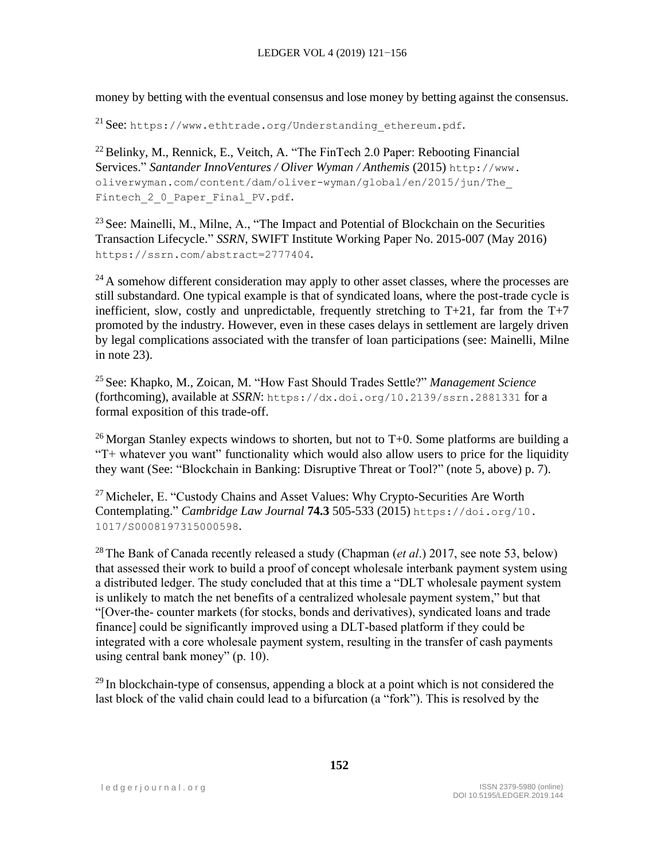money by betting with the eventual consensus and lose money by betting against the consensus.

 $^{21}$  See: https://www.ethtrade.org/Understanding ethereum.pdf.

 $^{22}$ Belinky, M., Rennick, E., Veitch, A. "The FinTech 2.0 Paper: Rebooting Financial Services." *Santander InnoVentures / Oliver Wyman / Anthemis* (2015) http://www. oliverwyman.com/content/dam/oliver-wyman/global/en/2015/jun/The\_ Fintech 2 0 Paper Final PV.pdf.

 $^{23}$  See: Mainelli, M., Milne, A., "The Impact and Potential of Blockchain on the Securities Transaction Lifecycle." *SSRN*, SWIFT Institute Working Paper No. 2015-007 (May 2016) https://ssrn.com/abstract=2777404.

 $^{24}$  A somehow different consideration may apply to other asset classes, where the processes are still substandard. One typical example is that of syndicated loans, where the post-trade cycle is inefficient, slow, costly and unpredictable, frequently stretching to  $T+21$ , far from the  $T+7$ promoted by the industry. However, even in these cases delays in settlement are largely driven by legal complications associated with the transfer of loan participations (see: Mainelli, Milne in note 23).

<sup>25</sup> See: Khapko, M., Zoican, M. "How Fast Should Trades Settle?" *Management Science*  (forthcoming), available at *SSRN*: https://dx.doi.org/10.2139/ssrn.2881331 for a formal exposition of this trade-off.

<sup>26</sup> Morgan Stanley expects windows to shorten, but not to T+0. Some platforms are building a "T+ whatever you want" functionality which would also allow users to price for the liquidity they want (See: "Blockchain in Banking: Disruptive Threat or Tool?" (note 5, above) p. 7).

<sup>27</sup> Micheler, E. "Custody Chains and Asset Values: Why Crypto-Securities Are Worth Contemplating." *Cambridge Law Journal* **74.3** 505-533 (2015) https://doi.org/10. 1017/S0008197315000598.

<sup>28</sup>The Bank of Canada recently released a study (Chapman (*et al*.) 2017, see note 53, below) that assessed their work to build a proof of concept wholesale interbank payment system using a distributed ledger. The study concluded that at this time a "DLT wholesale payment system is unlikely to match the net benefits of a centralized wholesale payment system," but that "[Over-the- counter markets (for stocks, bonds and derivatives), syndicated loans and trade finance] could be significantly improved using a DLT-based platform if they could be integrated with a core wholesale payment system, resulting in the transfer of cash payments using central bank money" (p. 10).

 $29$  In blockchain-type of consensus, appending a block at a point which is not considered the last block of the valid chain could lead to a bifurcation (a "fork"). This is resolved by the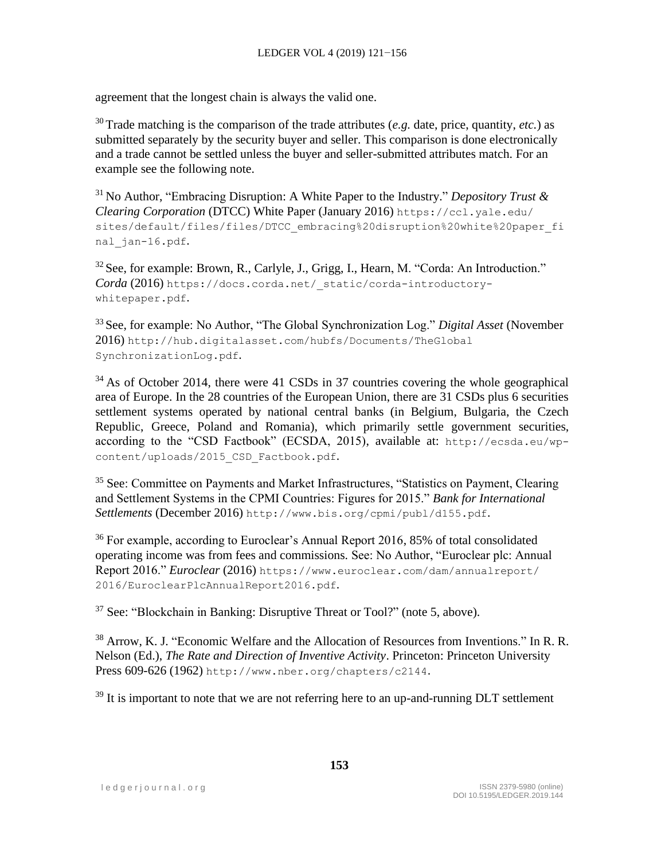agreement that the longest chain is always the valid one.

<sup>30</sup> Trade matching is the comparison of the trade attributes (*e.g.* date, price, quantity, *etc.*) as submitted separately by the security buyer and seller. This comparison is done electronically and a trade cannot be settled unless the buyer and seller-submitted attributes match. For an example see the following note.

 $31$  No Author, "Embracing Disruption: A White Paper to the Industry." *Depository Trust & Clearing Corporation* (DTCC) White Paper (January 2016) https://ccl.yale.edu/ sites/default/files/files/DTCC\_embracing%20disruption%20white%20paper\_fi nal\_jan-16.pdf.

<sup>32</sup> See, for example: Brown, R., Carlyle, J., Grigg, I., Hearn, M. "Corda: An Introduction." *Corda* (2016) https://docs.corda.net/\_static/corda-introductorywhitepaper.pdf.

<sup>33</sup> See, for example: No Author, "The Global Synchronization Log." *Digital Asset* (November 2016) http://hub.digitalasset.com/hubfs/Documents/TheGlobal SynchronizationLog.pdf.

<sup>34</sup> As of October 2014, there were 41 CSDs in 37 countries covering the whole geographical area of Europe. In the 28 countries of the European Union, there are 31 CSDs plus 6 securities settlement systems operated by national central banks (in Belgium, Bulgaria, the Czech Republic, Greece, Poland and Romania), which primarily settle government securities, according to the "CSD Factbook" (ECSDA, 2015), available at: http://ecsda.eu/wpcontent/uploads/2015\_CSD\_Factbook.pdf.

<sup>35</sup> See: Committee on Payments and Market Infrastructures, "Statistics on Payment, Clearing and Settlement Systems in the CPMI Countries: Figures for 2015." *Bank for International Settlements* (December 2016) http://www.bis.org/cpmi/publ/d155.pdf.

<sup>36</sup> For example, according to Euroclear's Annual Report 2016, 85% of total consolidated operating income was from fees and commissions. See: No Author, "Euroclear plc: Annual Report 2016." *Euroclear* (2016) https://www.euroclear.com/dam/annualreport/ 2016/EuroclearPlcAnnualReport2016.pdf.

 $37$  See: "Blockchain in Banking: Disruptive Threat or Tool?" (note 5, above).

<sup>38</sup> Arrow, K. J. "Economic Welfare and the Allocation of Resources from Inventions." In R. R. Nelson (Ed.), *The Rate and Direction of Inventive Activity*. Princeton: Princeton University Press 609-626 (1962) http://www.nber.org/chapters/c2144.

 $39$  It is important to note that we are not referring here to an up-and-running DLT settlement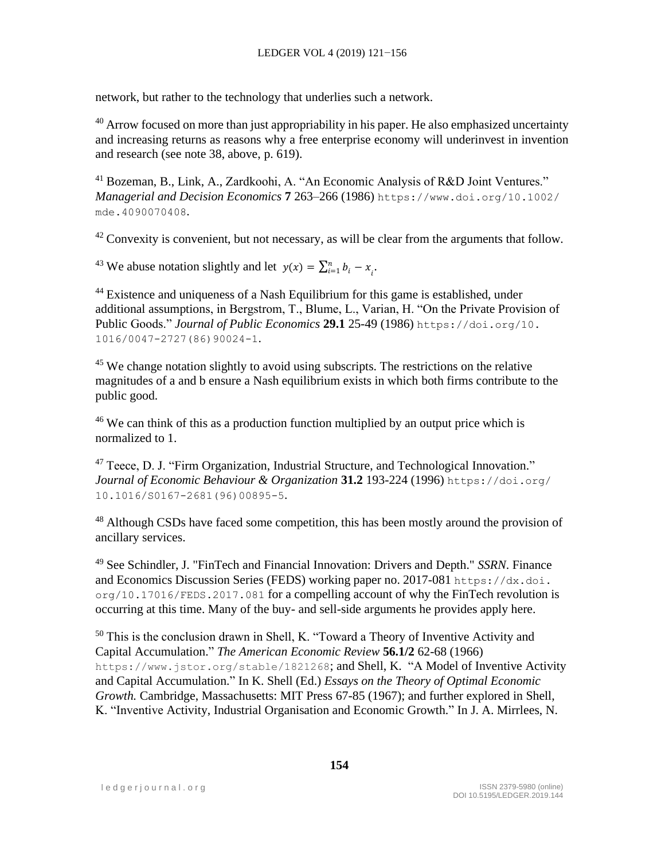network, but rather to the technology that underlies such a network.

 $40$  Arrow focused on more than just appropriability in his paper. He also emphasized uncertainty and increasing returns as reasons why a free enterprise economy will underinvest in invention and research (see note 38, above, p. 619).

<sup>41</sup> Bozeman, B., Link, A., Zardkoohi, A. "An Economic Analysis of R&D Joint Ventures." *Managerial and Decision Economics* **7** 263–266 (1986) https://www.doi.org/10.1002/ mde.4090070408.

 $42$  Convexity is convenient, but not necessary, as will be clear from the arguments that follow.

<sup>43</sup> We abuse notation slightly and let  $y(x) = \sum_{i=1}^{n} b_i - x_i$ .

<sup>44</sup> Existence and uniqueness of a Nash Equilibrium for this game is established, under additional assumptions, in Bergstrom, T., Blume, L., Varian, H. "On the Private Provision of Public Goods." *Journal of Public Economics* **29.1** 25-49 (1986) https://doi.org/10. 1016/0047-2727(86)90024-1.

<sup>45</sup> We change notation slightly to avoid using subscripts. The restrictions on the relative magnitudes of a and b ensure a Nash equilibrium exists in which both firms contribute to the public good.

 $46$  We can think of this as a production function multiplied by an output price which is normalized to 1.

<sup>47</sup> Teece, D. J. "Firm Organization, Industrial Structure, and Technological Innovation." *Journal of Economic Behaviour & Organization* **31.2** 193-224 (1996) https://doi.org/ 10.1016/S0167-2681(96)00895-5.

<sup>48</sup> Although CSDs have faced some competition, this has been mostly around the provision of ancillary services.

<sup>49</sup> See Schindler, J. "FinTech and Financial Innovation: Drivers and Depth." *SSRN*. Finance and Economics Discussion Series (FEDS) working paper no. 2017-081 https://dx.doi. org/10.17016/FEDS.2017.081 for a compelling account of why the FinTech revolution is occurring at this time. Many of the buy- and sell-side arguments he provides apply here.

 $50$  This is the conclusion drawn in Shell, K. "Toward a Theory of Inventive Activity and Capital Accumulation." *The American Economic Review* **56.1/2** 62-68 (1966) https://www.jstor.org/stable/1821268; and Shell, K. "A Model of Inventive Activity and Capital Accumulation." In K. Shell (Ed.) *Essays on the Theory of Optimal Economic Growth.* Cambridge, Massachusetts: MIT Press 67-85 (1967); and further explored in Shell, K. "Inventive Activity, Industrial Organisation and Economic Growth." In J. A. Mirrlees, N.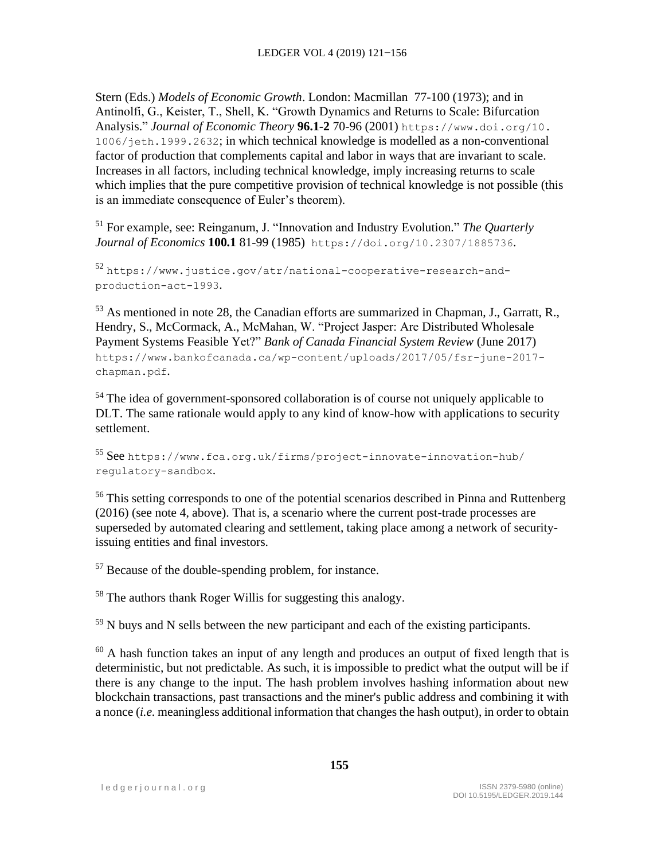Stern (Eds.) *Models of Economic Growth*. London: Macmillan 77-100 (1973); and in Antinolfi, G., Keister, T., Shell, K. "Growth Dynamics and Returns to Scale: Bifurcation Analysis." *Journal of Economic Theory* **96.1-2** 70-96 (2001) https://www.doi.org/10. 1006/jeth.1999.2632; in which technical knowledge is modelled as a non-conventional factor of production that complements capital and labor in ways that are invariant to scale. Increases in all factors, including technical knowledge, imply increasing returns to scale which implies that the pure competitive provision of technical knowledge is not possible (this is an immediate consequence of Euler's theorem).

<sup>51</sup> For example, see: Reinganum, J. "Innovation and Industry Evolution." *The Quarterly Journal of Economics* **100.1** 81-99 (1985) https://doi.org/10.2307/1885736.

```
52 https://www.justice.gov/atr/national-cooperative-research-and-
production-act-1993.
```
<sup>53</sup> As mentioned in note 28, the Canadian efforts are summarized in Chapman, J., Garratt, R., Hendry, S., McCormack, A., McMahan, W. "Project Jasper: Are Distributed Wholesale Payment Systems Feasible Yet?" *Bank of Canada Financial System Review* (June 2017) https://www.bankofcanada.ca/wp-content/uploads/2017/05/fsr-june-2017 chapman.pdf.

<sup>54</sup> The idea of government-sponsored collaboration is of course not uniquely applicable to DLT. The same rationale would apply to any kind of know-how with applications to security settlement.

```
55 See https://www.fca.org.uk/firms/project-innovate-innovation-hub/
regulatory-sandbox.
```
<sup>56</sup> This setting corresponds to one of the potential scenarios described in Pinna and Ruttenberg (2016) (see note 4, above). That is, a scenario where the current post-trade processes are superseded by automated clearing and settlement, taking place among a network of securityissuing entities and final investors.

<sup>57</sup> Because of the double-spending problem, for instance.

<sup>58</sup> The authors thank Roger Willis for suggesting this analogy.

 $59$  N buys and N sells between the new participant and each of the existing participants.

 $60$  A hash function takes an input of any length and produces an output of fixed length that is deterministic, but not predictable. As such, it is impossible to predict what the output will be if there is any change to the input. The hash problem involves hashing information about new blockchain transactions, past transactions and the miner's public address and combining it with a nonce (*i.e.* meaningless additional information that changes the hash output), in order to obtain